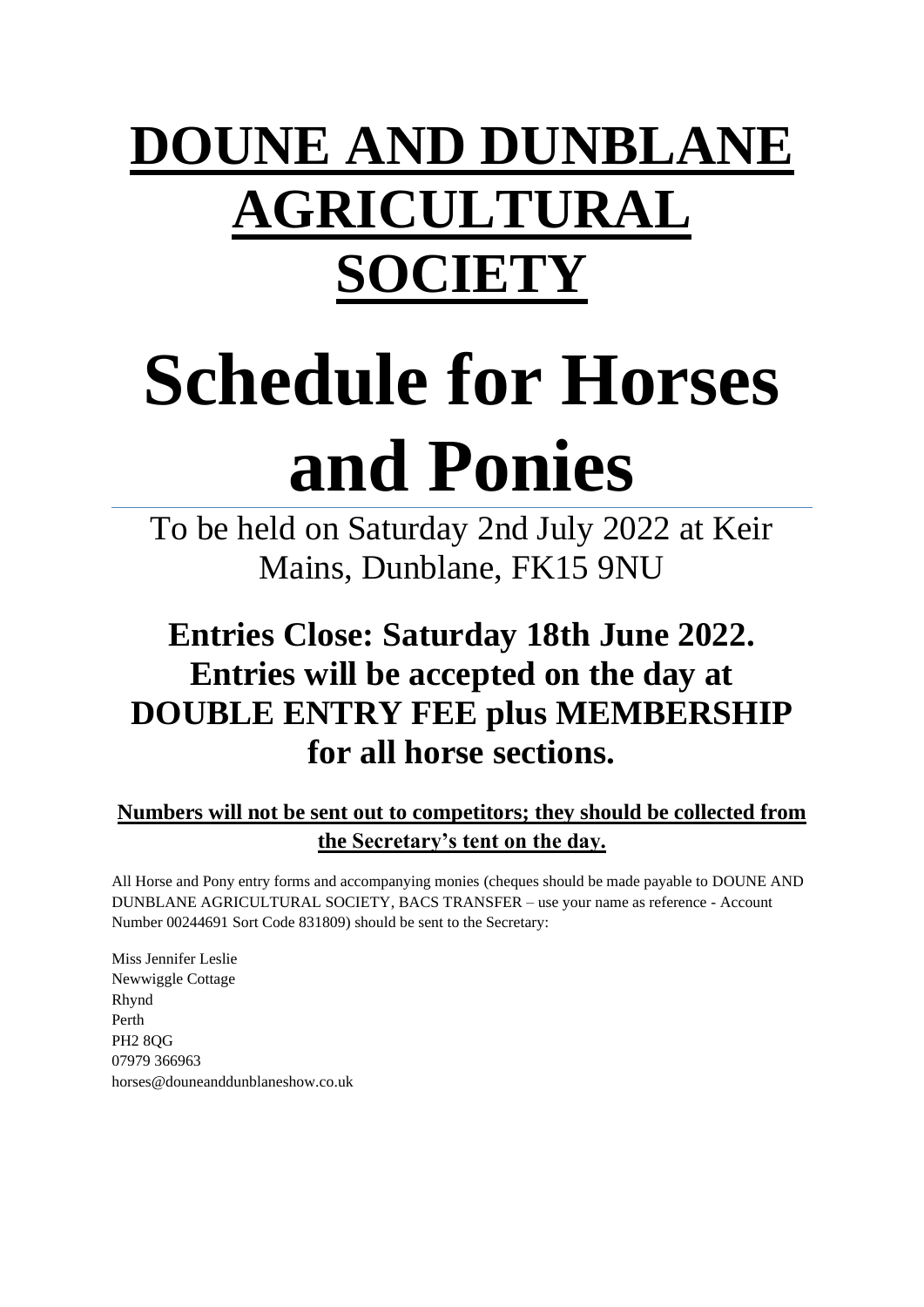# **DOUNE AND DUNBLANE AGRICULTURAL SOCIETY**

# **Schedule for Horses and Ponies**

To be held on Saturday 2nd July 2022 at Keir Mains, Dunblane, FK15 9NU

# **Entries Close: Saturday 18th June 2022. Entries will be accepted on the day at DOUBLE ENTRY FEE plus MEMBERSHIP for all horse sections.**

### **Numbers will not be sent out to competitors; they should be collected from the Secretary's tent on the day.**

All Horse and Pony entry forms and accompanying monies (cheques should be made payable to DOUNE AND DUNBLANE AGRICULTURAL SOCIETY, BACS TRANSFER – use your name as reference - Account Number 00244691 Sort Code 831809) should be sent to the Secretary:

Miss Jennifer Leslie Newwiggle Cottage Rhynd Perth PH2 8QG 07979 366963 horses@douneanddunblaneshow.co.uk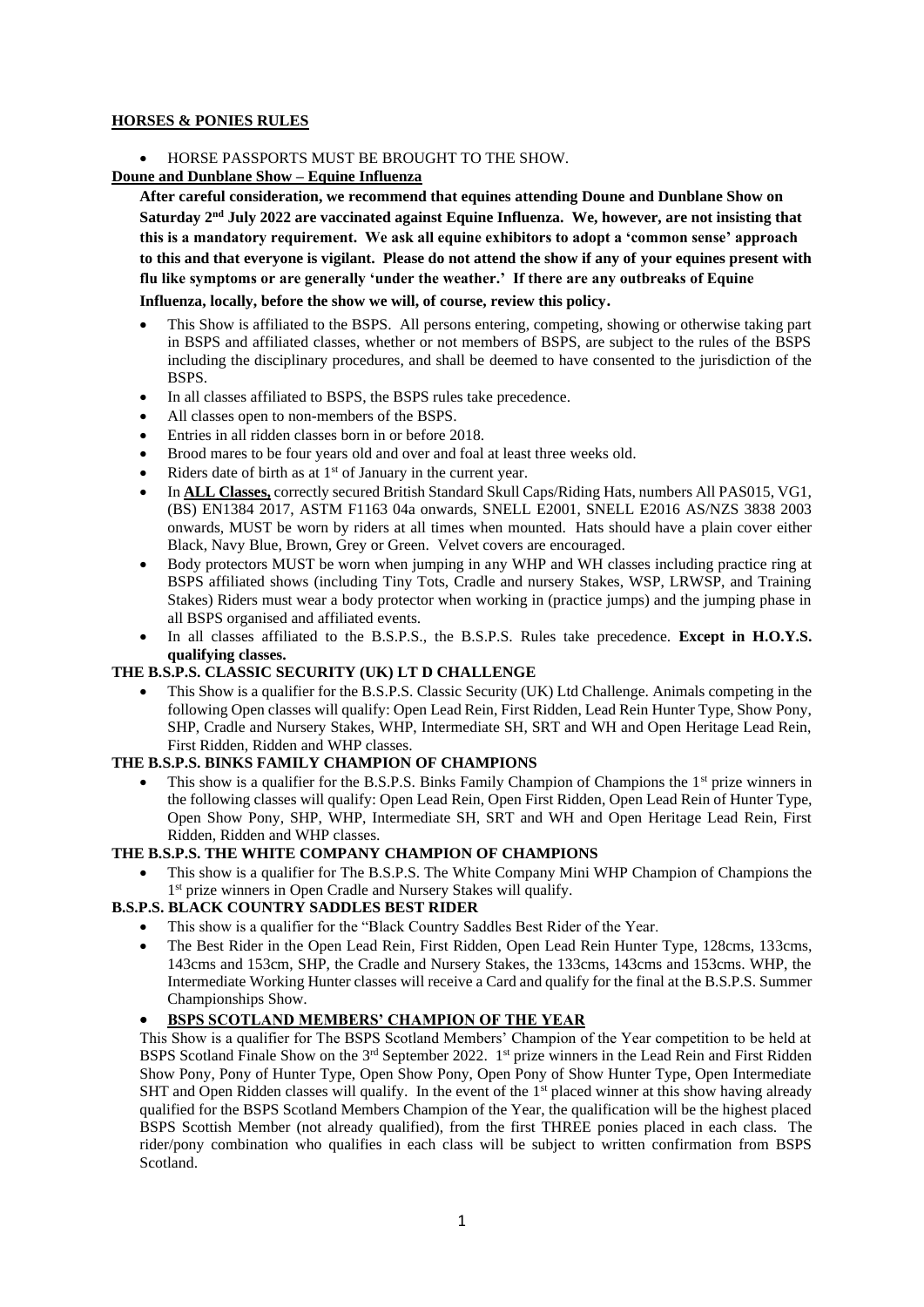#### **HORSES & PONIES RULES**

• HORSE PASSPORTS MUST BE BROUGHT TO THE SHOW.

#### **Doune and Dunblane Show – Equine Influenza**

**After careful consideration, we recommend that equines attending Doune and Dunblane Show on**  Saturday 2<sup>nd</sup> July 2022 are vaccinated against Equine Influenza. We, however, are not insisting that **this is a mandatory requirement. We ask all equine exhibitors to adopt a 'common sense' approach to this and that everyone is vigilant. Please do not attend the show if any of your equines present with flu like symptoms or are generally 'under the weather.' If there are any outbreaks of Equine Influenza, locally, before the show we will, of course, review this policy.**

- This Show is affiliated to the BSPS. All persons entering, competing, showing or otherwise taking part in BSPS and affiliated classes, whether or not members of BSPS, are subject to the rules of the BSPS including the disciplinary procedures, and shall be deemed to have consented to the jurisdiction of the BSPS.
- In all classes affiliated to BSPS, the BSPS rules take precedence.
- All classes open to non-members of the BSPS.
- Entries in all ridden classes born in or before 2018.
- Brood mares to be four years old and over and foal at least three weeks old.
- Riders date of birth as at  $1<sup>st</sup>$  of January in the current year.
- In **ALL Classes,** correctly secured British Standard Skull Caps/Riding Hats, numbers All PAS015, VG1, (BS) EN1384 2017, ASTM F1163 04a onwards, SNELL E2001, SNELL E2016 AS/NZS 3838 2003 onwards, MUST be worn by riders at all times when mounted. Hats should have a plain cover either Black, Navy Blue, Brown, Grey or Green. Velvet covers are encouraged.
- Body protectors MUST be worn when jumping in any WHP and WH classes including practice ring at BSPS affiliated shows (including Tiny Tots, Cradle and nursery Stakes, WSP, LRWSP, and Training Stakes) Riders must wear a body protector when working in (practice jumps) and the jumping phase in all BSPS organised and affiliated events.
- In all classes affiliated to the B.S.P.S., the B.S.P.S. Rules take precedence. **Except in H.O.Y.S. qualifying classes.**

#### **THE B.S.P.S. CLASSIC SECURITY (UK) LT D CHALLENGE**

• This Show is a qualifier for the B.S.P.S. Classic Security (UK) Ltd Challenge. Animals competing in the following Open classes will qualify: Open Lead Rein, First Ridden, Lead Rein Hunter Type, Show Pony, SHP, Cradle and Nursery Stakes, WHP, Intermediate SH, SRT and WH and Open Heritage Lead Rein, First Ridden, Ridden and WHP classes.

#### **THE B.S.P.S. BINKS FAMILY CHAMPION OF CHAMPIONS**

This show is a qualifier for the B.S.P.S. Binks Family Champion of Champions the 1<sup>st</sup> prize winners in the following classes will qualify: Open Lead Rein, Open First Ridden, Open Lead Rein of Hunter Type, Open Show Pony, SHP, WHP, Intermediate SH, SRT and WH and Open Heritage Lead Rein, First Ridden, Ridden and WHP classes.

#### **THE B.S.P.S. THE WHITE COMPANY CHAMPION OF CHAMPIONS**

• This show is a qualifier for The B.S.P.S. The White Company Mini WHP Champion of Champions the 1 st prize winners in Open Cradle and Nursery Stakes will qualify.

#### **B.S.P.S. BLACK COUNTRY SADDLES BEST RIDER**

- This show is a qualifier for the "Black Country Saddles Best Rider of the Year.
- The Best Rider in the Open Lead Rein, First Ridden, Open Lead Rein Hunter Type, 128cms, 133cms, 143cms and 153cm, SHP, the Cradle and Nursery Stakes, the 133cms, 143cms and 153cms. WHP, the Intermediate Working Hunter classes will receive a Card and qualify for the final at the B.S.P.S. Summer Championships Show.

#### • **BSPS SCOTLAND MEMBERS' CHAMPION OF THE YEAR**

This Show is a qualifier for The BSPS Scotland Members' Champion of the Year competition to be held at BSPS Scotland Finale Show on the 3<sup>rd</sup> September 2022. 1<sup>st</sup> prize winners in the Lead Rein and First Ridden Show Pony, Pony of Hunter Type, Open Show Pony, Open Pony of Show Hunter Type, Open Intermediate SHT and Open Ridden classes will qualify. In the event of the  $1<sup>st</sup>$  placed winner at this show having already qualified for the BSPS Scotland Members Champion of the Year, the qualification will be the highest placed BSPS Scottish Member (not already qualified), from the first THREE ponies placed in each class. The rider/pony combination who qualifies in each class will be subject to written confirmation from BSPS Scotland.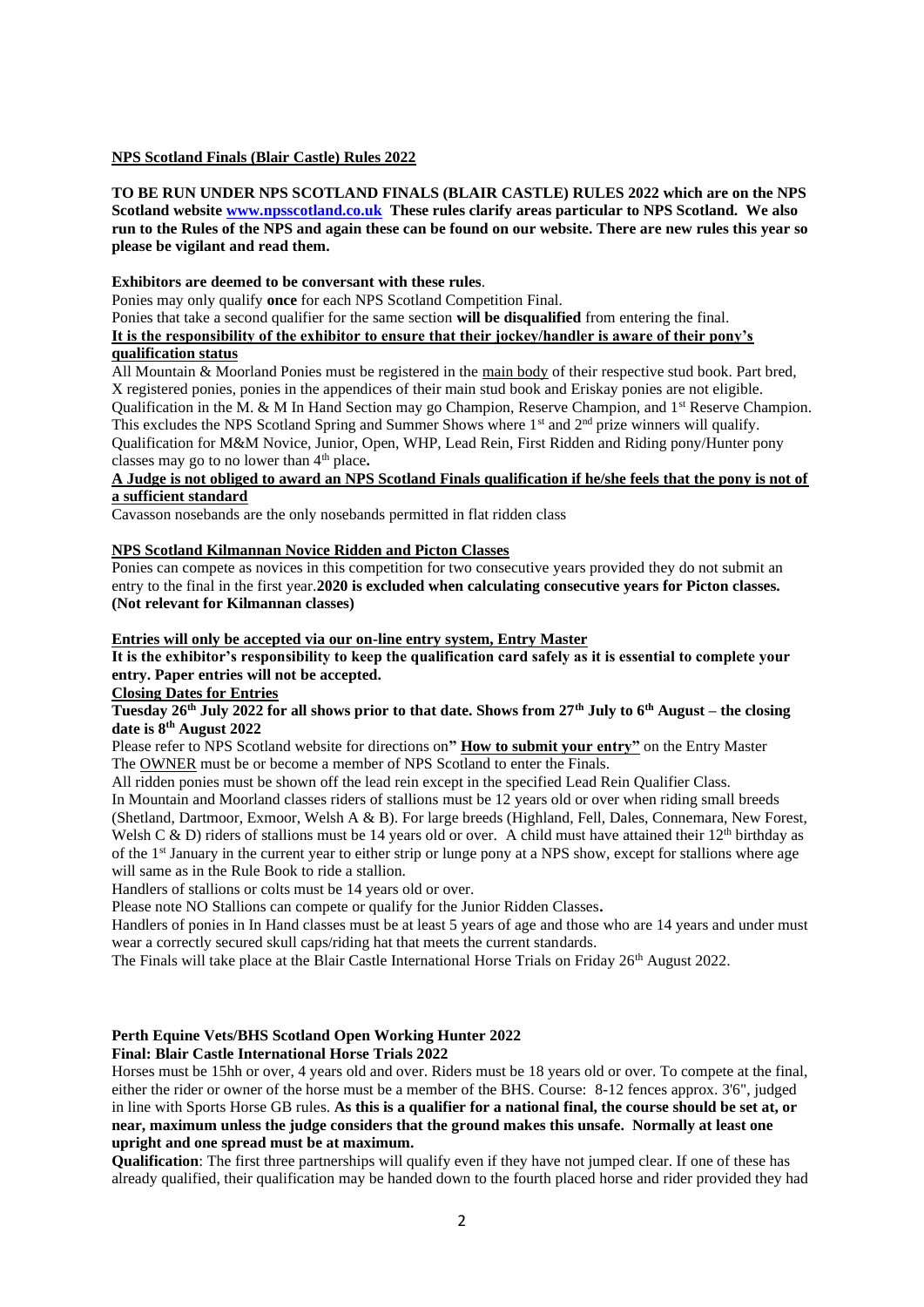#### **NPS Scotland Finals (Blair Castle) Rules 2022**

**TO BE RUN UNDER NPS SCOTLAND FINALS (BLAIR CASTLE) RULES 2022 which are on the NPS Scotland website [www.npsscotland.co.uk](https://nam02.safelinks.protection.outlook.com/?url=http%3A%2F%2Fwww.npsscotland.co.uk&data=02%7C01%7C%7C6573275bc8284aaa9d1d08d6772e2d83%7C84df9e7fe9f640afb435aaaaaaaaaaaa%7C1%7C0%7C636827437547587710&sdata=GAupqNGZOPNcW4dHfcU1S0ucQE%2FaChbA20WYuBkDiMY%3D&reserved=0) These rules clarify areas particular to NPS Scotland. We also** run to the Rules of the NPS and again these can be found on our website. There are new rules this year so **please be vigilant and read them.**

#### **Exhibitors are deemed to be conversant with these rules**.

Ponies may only qualify **once** for each NPS Scotland Competition Final.

Ponies that take a second qualifier for the same section **will be disqualified** from entering the final. **It is the responsibility of the exhibitor to ensure that their jockey/handler is aware of their pony's qualification status**

All Mountain & Moorland Ponies must be registered in the main body of their respective stud book. Part bred, X registered ponies, ponies in the appendices of their main stud book and Eriskay ponies are not eligible. Qualification in the M. & M In Hand Section may go Champion, Reserve Champion, and  $1<sup>st</sup>$  Reserve Champion. This excludes the NPS Scotland Spring and Summer Shows where 1<sup>st</sup> and 2<sup>nd</sup> prize winners will qualify. Qualification for M&M Novice, Junior, Open, WHP, Lead Rein, First Ridden and Riding pony/Hunter pony classes may go to no lower than 4th place**.**

#### **A Judge is not obliged to award an NPS Scotland Finals qualification if he/she feels that the pony is not of a sufficient standard**

Cavasson nosebands are the only nosebands permitted in flat ridden class

#### **NPS Scotland Kilmannan Novice Ridden and Picton Classes**

Ponies can compete as novices in this competition for two consecutive years provided they do not submit an entry to the final in the first year.**2020 is excluded when calculating consecutive years for Picton classes. (Not relevant for Kilmannan classes)**

**Entries will only be accepted via our on-line entry system, Entry Master**

#### **It is the exhibitor's responsibility to keep the qualification card safely as it is essential to complete your entry. Paper entries will not be accepted.**

#### **Closing Dates for Entries**

**Tuesday 26th July 2022 for all shows prior to that date. Shows from 27th July to 6th August – the closing date is 8th August 2022**

Please refer to NPS Scotland website for directions on**" How to submit your entry"** on the Entry Master The OWNER must be or become a member of NPS Scotland to enter the Finals.

All ridden ponies must be shown off the lead rein except in the specified Lead Rein Qualifier Class.

In Mountain and Moorland classes riders of stallions must be 12 years old or over when riding small breeds (Shetland, Dartmoor, Exmoor, Welsh A & B). For large breeds (Highland, Fell, Dales, Connemara, New Forest, Welsh C & D) riders of stallions must be 14 years old or over. A child must have attained their  $12<sup>th</sup>$  birthday as of the 1st January in the current year to either strip or lunge pony at a NPS show, except for stallions where age will same as in the Rule Book to ride a stallion.

Handlers of stallions or colts must be 14 years old or over.

Please note NO Stallions can compete or qualify for the Junior Ridden Classes**.**

Handlers of ponies in In Hand classes must be at least 5 years of age and those who are 14 years and under must wear a correctly secured skull caps/riding hat that meets the current standards.

The Finals will take place at the Blair Castle International Horse Trials on Friday 26<sup>th</sup> August 2022.

#### **Perth Equine Vets/BHS Scotland Open Working Hunter 2022**

#### **Final: Blair Castle International Horse Trials 2022**

Horses must be 15hh or over, 4 years old and over. Riders must be 18 years old or over. To compete at the final, either the rider or owner of the horse must be a member of the BHS. Course: 8-12 fences approx. 3'6", judged in line with Sports Horse GB rules. **As this is a qualifier for a national final, the course should be set at, or near, maximum unless the judge considers that the ground makes this unsafe. Normally at least one upright and one spread must be at maximum.** 

**Qualification**: The first three partnerships will qualify even if they have not jumped clear. If one of these has already qualified, their qualification may be handed down to the fourth placed horse and rider provided they had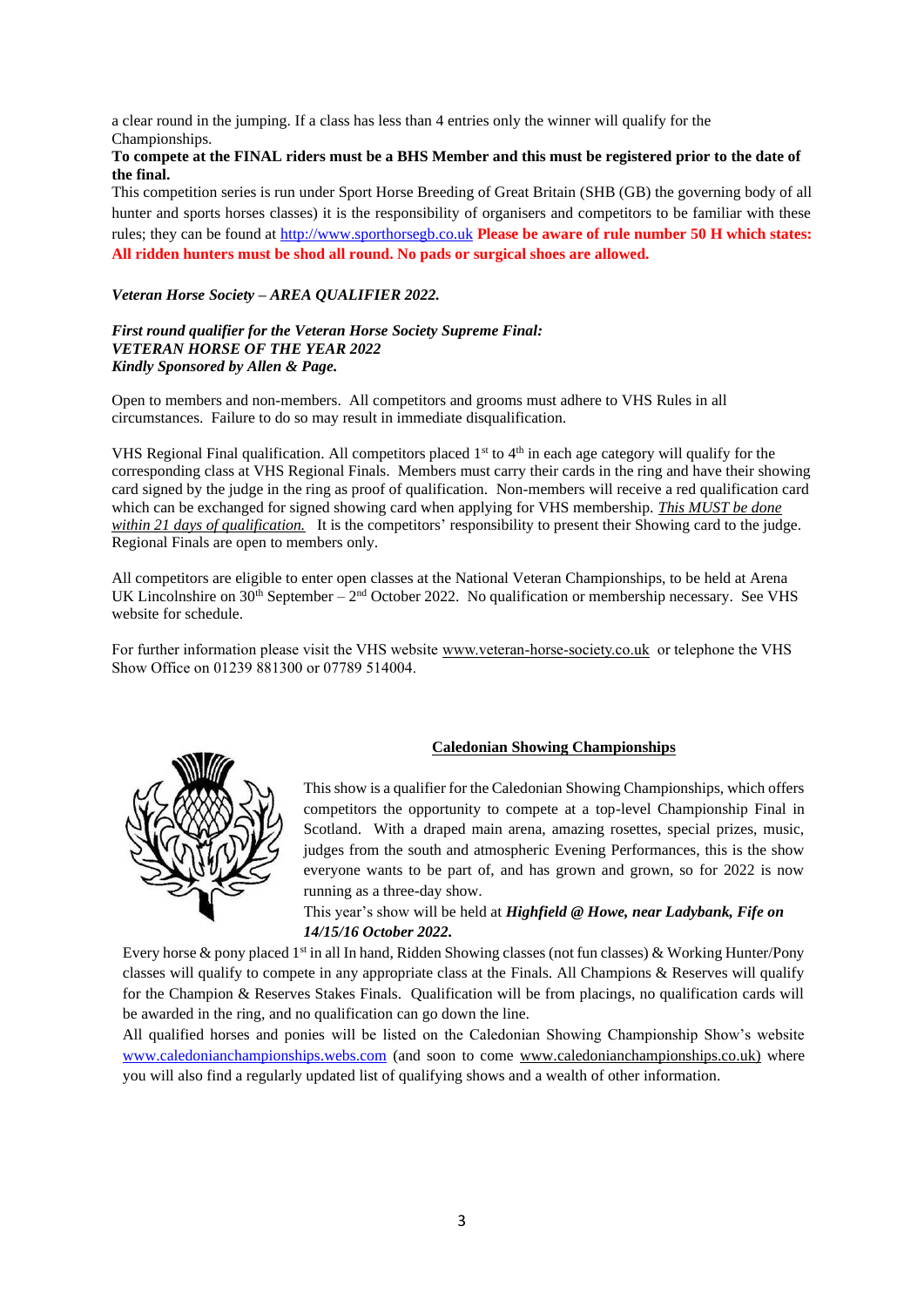a clear round in the jumping. If a class has less than 4 entries only the winner will qualify for the Championships.

#### **To compete at the FINAL riders must be a BHS Member and this must be registered prior to the date of the final.**

This competition series is run under Sport Horse Breeding of Great Britain (SHB (GB) the governing body of all hunter and sports horses classes) it is the responsibility of organisers and competitors to be familiar with these rules; they can be found a[t http://www.sporthorsegb.co.uk](http://www.sporthorsegb.co.uk/) **Please be aware of rule number 50 H which states: All ridden hunters must be shod all round. No pads or surgical shoes are allowed.**

#### *Veteran Horse Society – AREA QUALIFIER 2022.*

#### *First round qualifier for the Veteran Horse Society Supreme Final: VETERAN HORSE OF THE YEAR 2022 Kindly Sponsored by Allen & Page.*

Open to members and non-members. All competitors and grooms must adhere to VHS Rules in all circumstances. Failure to do so may result in immediate disqualification.

VHS Regional Final qualification. All competitors placed  $1<sup>st</sup>$  to  $4<sup>th</sup>$  in each age category will qualify for the corresponding class at VHS Regional Finals. Members must carry their cards in the ring and have their showing card signed by the judge in the ring as proof of qualification. Non-members will receive a red qualification card which can be exchanged for signed showing card when applying for VHS membership. *This MUST be done within 21 days of qualification.* It is the competitors' responsibility to present their Showing card to the judge. Regional Finals are open to members only.

All competitors are eligible to enter open classes at the National Veteran Championships, to be held at Arena UK Lincolnshire on  $30<sup>th</sup>$  September –  $2<sup>nd</sup>$  October 2022. No qualification or membership necessary. See VHS website for schedule.

For further information please visit the VHS website [www.veteran-horse-society.co.uk](http://www.veteran-horse-society.co.uk/) or telephone the VHS Show Office on 01239 881300 or 07789 514004.



#### **Caledonian Showing Championships**

This show is a qualifier for the Caledonian Showing Championships, which offers competitors the opportunity to compete at a top-level Championship Final in Scotland. With a draped main arena, amazing rosettes, special prizes, music, judges from the south and atmospheric Evening Performances, this is the show everyone wants to be part of, and has grown and grown, so for 2022 is now running as a three-day show.

This year's show will be held at *Highfield @ Howe, near Ladybank, Fife on 14/15/16 October 2022.* 

Every horse & pony placed 1<sup>st</sup> in all In hand, Ridden Showing classes (not fun classes) & Working Hunter/Pony classes will qualify to compete in any appropriate class at the Finals. All Champions & Reserves will qualify for the Champion & Reserves Stakes Finals. Qualification will be from placings, no qualification cards will be awarded in the ring, and no qualification can go down the line.

All qualified horses and ponies will be listed on the Caledonian Showing Championship Show's website [www.caledonianchampionships.webs.com](http://www.caledonianchampionships.webs.com/) (and soon to come [www.caledonianchampionships.co.uk\)](http://www.caledonianchampionships.co.uk/) where you will also find a regularly updated list of qualifying shows and a wealth of other information.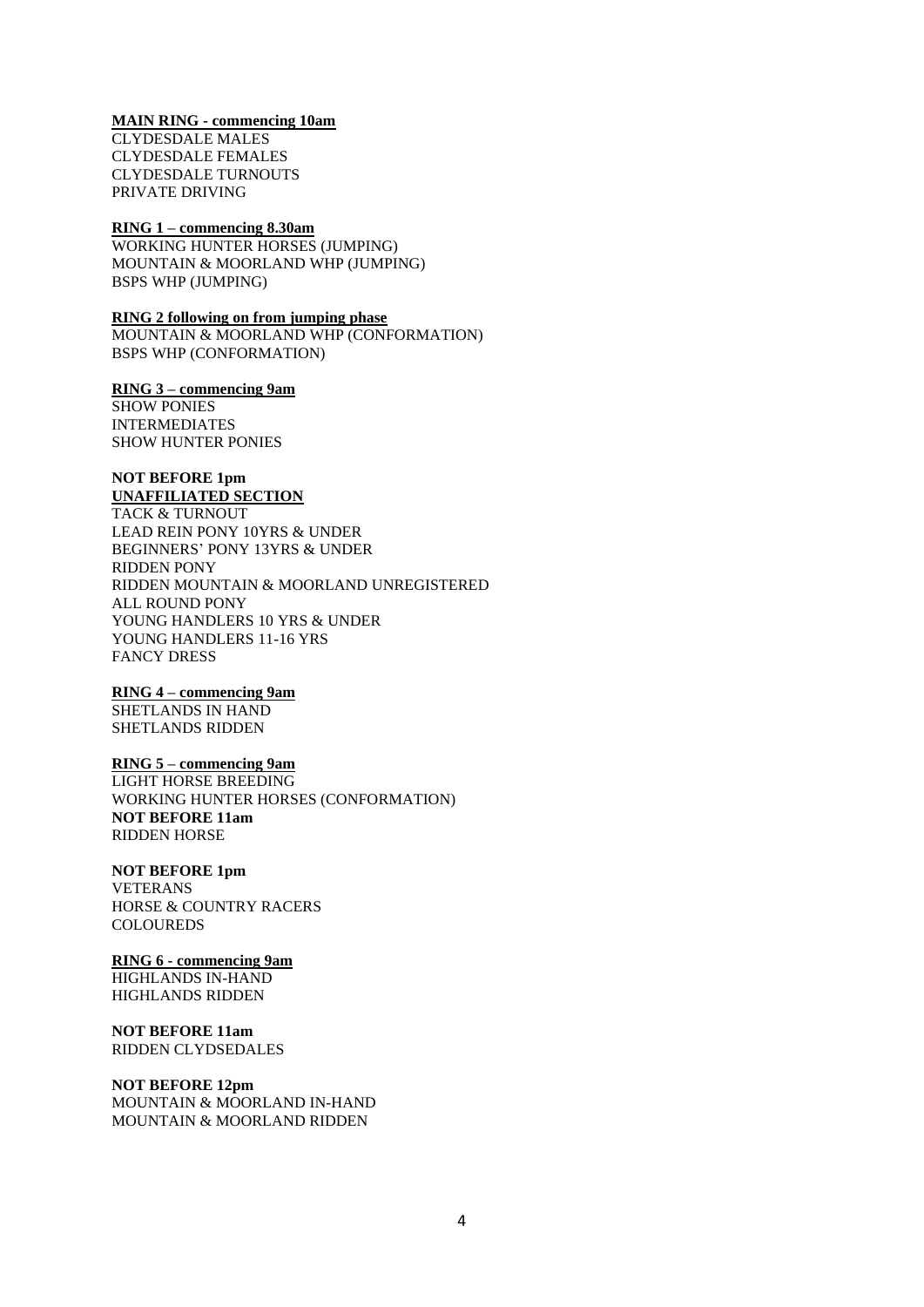#### **MAIN RING - commencing 10am**

CLYDESDALE MALES CLYDESDALE FEMALES CLYDESDALE TURNOUTS PRIVATE DRIVING

#### **RING 1 – commencing 8.30am**

WORKING HUNTER HORSES (JUMPING) MOUNTAIN & MOORLAND WHP (JUMPING) BSPS WHP (JUMPING)

#### **RING 2 following on from jumping phase**

MOUNTAIN & MOORLAND WHP (CONFORMATION) BSPS WHP (CONFORMATION)

#### **RING 3 – commencing 9am**

SHOW PONIES INTERMEDIATES SHOW HUNTER PONIES

#### **NOT BEFORE 1pm UNAFFILIATED SECTION**

TACK & TURNOUT LEAD REIN PONY 10YRS & UNDER BEGINNERS' PONY 13YRS & UNDER RIDDEN PONY RIDDEN MOUNTAIN & MOORLAND UNREGISTERED ALL ROUND PONY YOUNG HANDLERS 10 YRS & UNDER YOUNG HANDLERS 11-16 YRS FANCY DRESS

#### **RING 4 – commencing 9am**

SHETLANDS IN HAND SHETLANDS RIDDEN

#### **RING 5 – commencing 9am**

LIGHT HORSE BREEDING WORKING HUNTER HORSES (CONFORMATION) **NOT BEFORE 11am** RIDDEN HORSE

#### **NOT BEFORE 1pm**

VETERANS HORSE & COUNTRY RACERS **COLOUREDS** 

#### **RING 6 - commencing 9am**

HIGHLANDS IN-HAND HIGHLANDS RIDDEN

#### **NOT BEFORE 11am** RIDDEN CLYDSEDALES

**NOT BEFORE 12pm** MOUNTAIN & MOORLAND IN-HAND MOUNTAIN & MOORLAND RIDDEN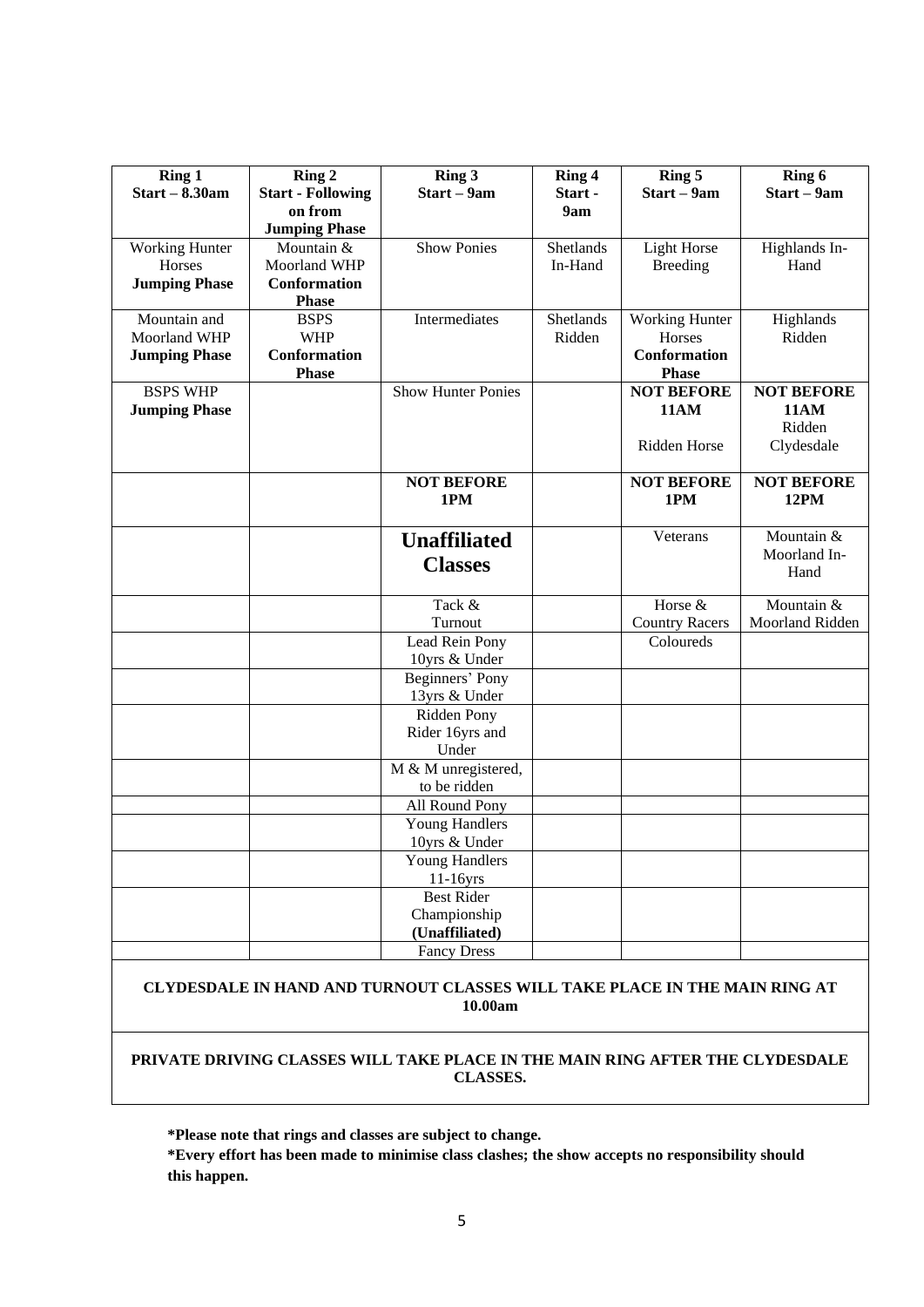| Ring 1<br>$Start - 8.30am$ | Ring 2<br><b>Start - Following</b> | Ring 3<br>Start – 9am        | Ring 4<br>Start - | Ring 5<br>Start - 9am            | $\overline{R}$ ing 6<br>Start - 9am |
|----------------------------|------------------------------------|------------------------------|-------------------|----------------------------------|-------------------------------------|
|                            | on from                            |                              | 9am               |                                  |                                     |
|                            | <b>Jumping Phase</b>               |                              |                   |                                  |                                     |
| <b>Working Hunter</b>      | Mountain &                         | <b>Show Ponies</b>           | Shetlands         | <b>Light Horse</b>               | Highlands In-                       |
| Horses                     | Moorland WHP                       |                              | In-Hand           | <b>Breeding</b>                  | Hand                                |
| <b>Jumping Phase</b>       | <b>Conformation</b>                |                              |                   |                                  |                                     |
|                            | <b>Phase</b>                       |                              |                   |                                  |                                     |
| Mountain and               | <b>BSPS</b>                        | Intermediates                | Shetlands         | <b>Working Hunter</b>            | Highlands                           |
| <b>Moorland WHP</b>        | <b>WHP</b>                         |                              | Ridden            | Horses                           | Ridden                              |
| <b>Jumping Phase</b>       | Conformation                       |                              |                   | <b>Conformation</b>              |                                     |
|                            | <b>Phase</b>                       |                              |                   | <b>Phase</b>                     |                                     |
| <b>BSPS WHP</b>            |                                    | Show Hunter Ponies           |                   | <b>NOT BEFORE</b><br><b>11AM</b> | <b>NOT BEFORE</b><br><b>11AM</b>    |
| <b>Jumping Phase</b>       |                                    |                              |                   |                                  | Ridden                              |
|                            |                                    |                              |                   | <b>Ridden Horse</b>              | Clydesdale                          |
|                            |                                    |                              |                   |                                  |                                     |
|                            |                                    | <b>NOT BEFORE</b>            |                   | <b>NOT BEFORE</b>                | <b>NOT BEFORE</b>                   |
|                            |                                    | 1PM                          |                   | 1PM                              | <b>12PM</b>                         |
|                            |                                    |                              |                   |                                  |                                     |
|                            |                                    | <b>Unaffiliated</b>          |                   | Veterans                         | Mountain &                          |
|                            |                                    | <b>Classes</b>               |                   |                                  | Moorland In-                        |
|                            |                                    |                              |                   |                                  | Hand                                |
|                            |                                    | Tack &                       |                   | Horse &                          | Mountain &                          |
|                            |                                    | Turnout                      |                   | <b>Country Racers</b>            | Moorland Ridden                     |
|                            |                                    | Lead Rein Pony               |                   | Coloureds                        |                                     |
|                            |                                    | 10yrs & Under                |                   |                                  |                                     |
|                            |                                    | Beginners' Pony              |                   |                                  |                                     |
|                            |                                    | 13yrs & Under                |                   |                                  |                                     |
|                            |                                    | Ridden Pony                  |                   |                                  |                                     |
|                            |                                    | Rider 16yrs and              |                   |                                  |                                     |
|                            |                                    | Under<br>M & M unregistered, |                   |                                  |                                     |
|                            |                                    | to be ridden                 |                   |                                  |                                     |
|                            |                                    | All Round Pony               |                   |                                  |                                     |
|                            |                                    | <b>Young Handlers</b>        |                   |                                  |                                     |
|                            |                                    | 10yrs & Under                |                   |                                  |                                     |
|                            |                                    | Young Handlers               |                   |                                  |                                     |
|                            |                                    | $11-16yrs$                   |                   |                                  |                                     |
|                            |                                    | <b>Best Rider</b>            |                   |                                  |                                     |
|                            |                                    | Championship                 |                   |                                  |                                     |
|                            |                                    | (Unaffiliated)               |                   |                                  |                                     |
|                            |                                    | <b>Fancy Dress</b>           |                   |                                  |                                     |

#### **CLYDESDALE IN HAND AND TURNOUT CLASSES WILL TAKE PLACE IN THE MAIN RING AT 10.00am**

**PRIVATE DRIVING CLASSES WILL TAKE PLACE IN THE MAIN RING AFTER THE CLYDESDALE CLASSES.**

**\*Please note that rings and classes are subject to change.**

**\*Every effort has been made to minimise class clashes; the show accepts no responsibility should this happen.**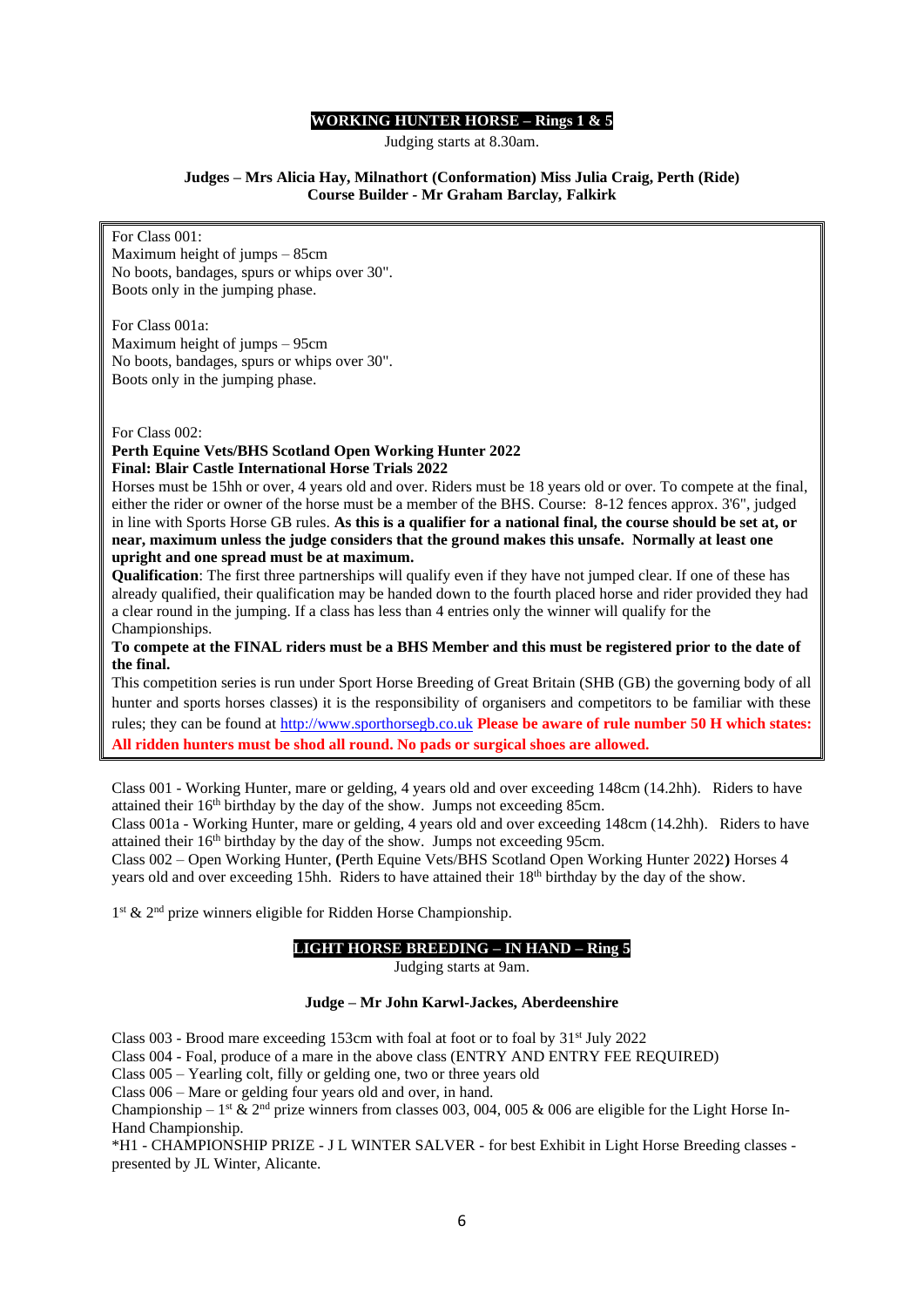#### **WORKING HUNTER HORSE – Rings 1 & 5**

Judging starts at 8.30am.

#### **Judges – Mrs Alicia Hay, Milnathort (Conformation) Miss Julia Craig, Perth (Ride) Course Builder** *-* **Mr Graham Barclay***,* **Falkirk**

For Class 001: Maximum height of jumps – 85cm No boots, bandages, spurs or whips over 30". Boots only in the jumping phase.

For Class 001a: Maximum height of jumps – 95cm No boots, bandages, spurs or whips over 30". Boots only in the jumping phase.

#### For Class 002:

#### **Perth Equine Vets/BHS Scotland Open Working Hunter 2022 Final: Blair Castle International Horse Trials 2022**

Horses must be 15hh or over, 4 years old and over. Riders must be 18 years old or over. To compete at the final,

either the rider or owner of the horse must be a member of the BHS. Course: 8-12 fences approx. 3'6", judged in line with Sports Horse GB rules. **As this is a qualifier for a national final, the course should be set at, or near, maximum unless the judge considers that the ground makes this unsafe. Normally at least one upright and one spread must be at maximum.** 

**Qualification**: The first three partnerships will qualify even if they have not jumped clear. If one of these has already qualified, their qualification may be handed down to the fourth placed horse and rider provided they had a clear round in the jumping. If a class has less than 4 entries only the winner will qualify for the Championships.

**To compete at the FINAL riders must be a BHS Member and this must be registered prior to the date of the final.**

This competition series is run under Sport Horse Breeding of Great Britain (SHB (GB) the governing body of all hunter and sports horses classes) it is the responsibility of organisers and competitors to be familiar with these rules; they can be found a[t http://www.sporthorsegb.co.uk](http://www.sporthorsegb.co.uk/) **Please be aware of rule number 50 H which states: All ridden hunters must be shod all round. No pads or surgical shoes are allowed.**

Class 001 - Working Hunter, mare or gelding, 4 years old and over exceeding 148cm (14.2hh). Riders to have attained their 16th birthday by the day of the show. Jumps not exceeding 85cm.

Class 001a - Working Hunter, mare or gelding, 4 years old and over exceeding 148cm (14.2hh). Riders to have attained their 16<sup>th</sup> birthday by the day of the show. Jumps not exceeding 95cm.

Class 002 – Open Working Hunter, **(**Perth Equine Vets/BHS Scotland Open Working Hunter 2022**)** Horses 4 years old and over exceeding 15hh. Riders to have attained their 18<sup>th</sup> birthday by the day of the show.

1<sup>st</sup> & 2<sup>nd</sup> prize winners eligible for Ridden Horse Championship.

#### **LIGHT HORSE BREEDING – IN HAND – Ring 5**

Judging starts at 9am.

#### **Judge – Mr John Karwl-Jackes, Aberdeenshire**

Class 003 - Brood mare exceeding 153cm with foal at foot or to foal by 31st July 2022

Class 004 - Foal, produce of a mare in the above class (ENTRY AND ENTRY FEE REQUIRED)

Class 005 – Yearling colt, filly or gelding one, two or three years old

Class 006 – Mare or gelding four years old and over, in hand.

Championship –  $1^{\text{st}}$  &  $2^{\text{nd}}$  prize winners from classes 003, 004, 005 & 006 are eligible for the Light Horse In-Hand Championship.

\*H1 - CHAMPIONSHIP PRIZE - J L WINTER SALVER - for best Exhibit in Light Horse Breeding classes presented by JL Winter, Alicante.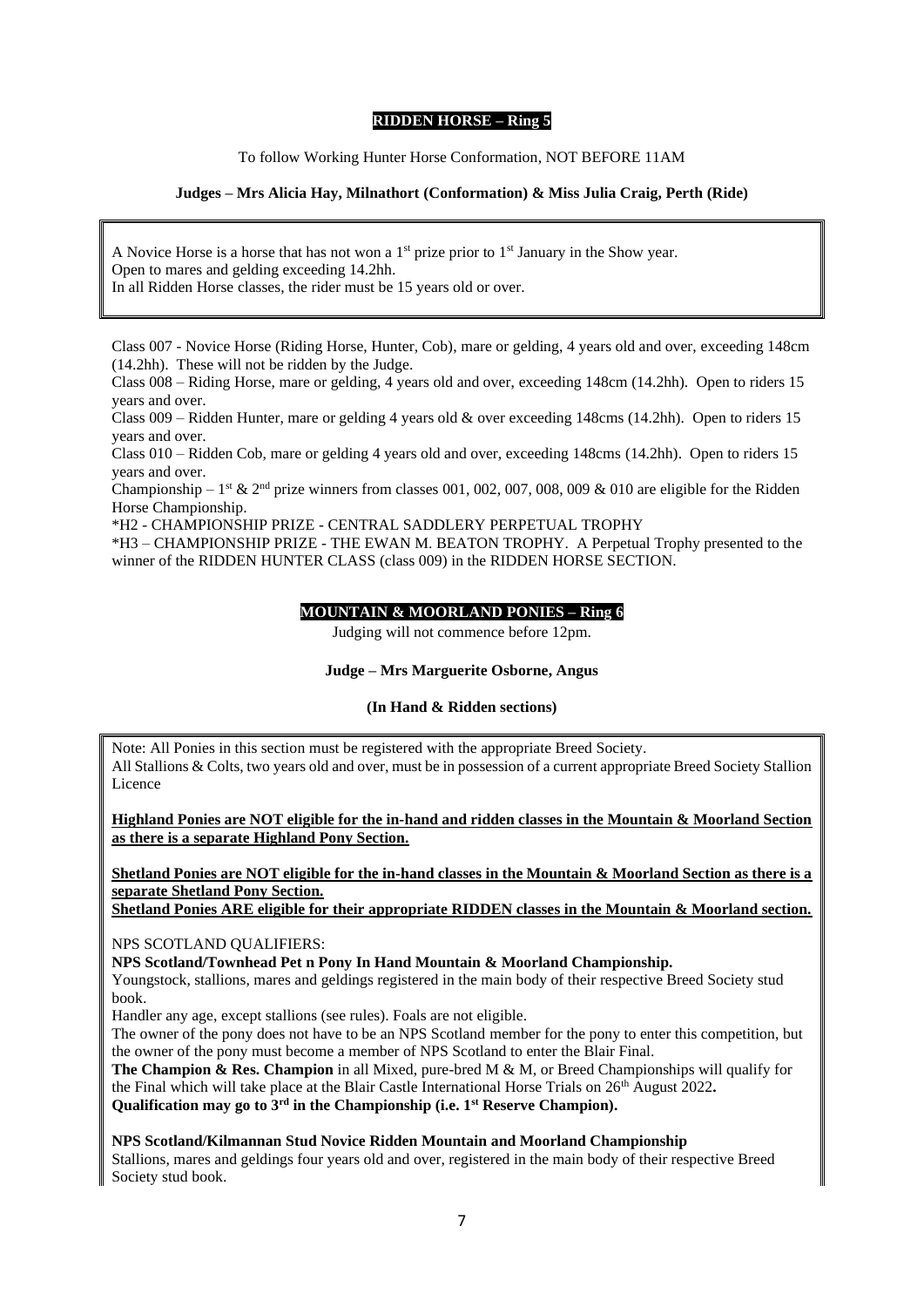#### **RIDDEN HORSE – Ring 5**

To follow Working Hunter Horse Conformation, NOT BEFORE 11AM

#### **Judges – Mrs Alicia Hay, Milnathort (Conformation) & Miss Julia Craig, Perth (Ride)**

A Novice Horse is a horse that has not won a  $1<sup>st</sup>$  prize prior to  $1<sup>st</sup>$  January in the Show year. Open to mares and gelding exceeding 14.2hh. In all Ridden Horse classes, the rider must be 15 years old or over.

Class 007 - Novice Horse (Riding Horse, Hunter, Cob), mare or gelding, 4 years old and over, exceeding 148cm (14.2hh). These will not be ridden by the Judge.

Class 008 – Riding Horse, mare or gelding, 4 years old and over, exceeding 148cm (14.2hh). Open to riders 15 years and over.

Class 009 – Ridden Hunter, mare or gelding 4 years old & over exceeding 148cms (14.2hh). Open to riders 15 years and over.

Class 010 – Ridden Cob, mare or gelding 4 years old and over, exceeding 148cms (14.2hh). Open to riders 15 years and over.

Championship – 1<sup>st</sup> & 2<sup>nd</sup> prize winners from classes 001, 002, 007, 008, 009 & 010 are eligible for the Ridden Horse Championship.

\*H2 - CHAMPIONSHIP PRIZE - CENTRAL SADDLERY PERPETUAL TROPHY

\*H3 – CHAMPIONSHIP PRIZE - THE EWAN M. BEATON TROPHY. A Perpetual Trophy presented to the winner of the RIDDEN HUNTER CLASS (class 009) in the RIDDEN HORSE SECTION.

#### **MOUNTAIN & MOORLAND PONIES – Ring 6**

Judging will not commence before 12pm.

#### **Judge – Mrs Marguerite Osborne, Angus**

#### **(In Hand & Ridden sections)**

Note: All Ponies in this section must be registered with the appropriate Breed Society. All Stallions & Colts, two years old and over, must be in possession of a current appropriate Breed Society Stallion Licence

**Highland Ponies are NOT eligible for the in-hand and ridden classes in the Mountain & Moorland Section as there is a separate Highland Pony Section.**

**Shetland Ponies are NOT eligible for the in-hand classes in the Mountain & Moorland Section as there is a separate Shetland Pony Section.**

**Shetland Ponies ARE eligible for their appropriate RIDDEN classes in the Mountain & Moorland section.**

NPS SCOTLAND QUALIFIERS:

**NPS Scotland/Townhead Pet n Pony In Hand Mountain & Moorland Championship.**

Youngstock, stallions, mares and geldings registered in the main body of their respective Breed Society stud book.

Handler any age, except stallions (see rules). Foals are not eligible.

The owner of the pony does not have to be an NPS Scotland member for the pony to enter this competition, but the owner of the pony must become a member of NPS Scotland to enter the Blair Final.

**The Champion & Res. Champion** in all Mixed, pure-bred M & M, or Breed Championships will qualify for the Final which will take place at the Blair Castle International Horse Trials on 26th August 2022**. Qualification may go to 3rd in the Championship (i.e. 1st Reserve Champion).**

**NPS Scotland/Kilmannan Stud Novice Ridden Mountain and Moorland Championship**

Stallions, mares and geldings four years old and over, registered in the main body of their respective Breed Society stud book.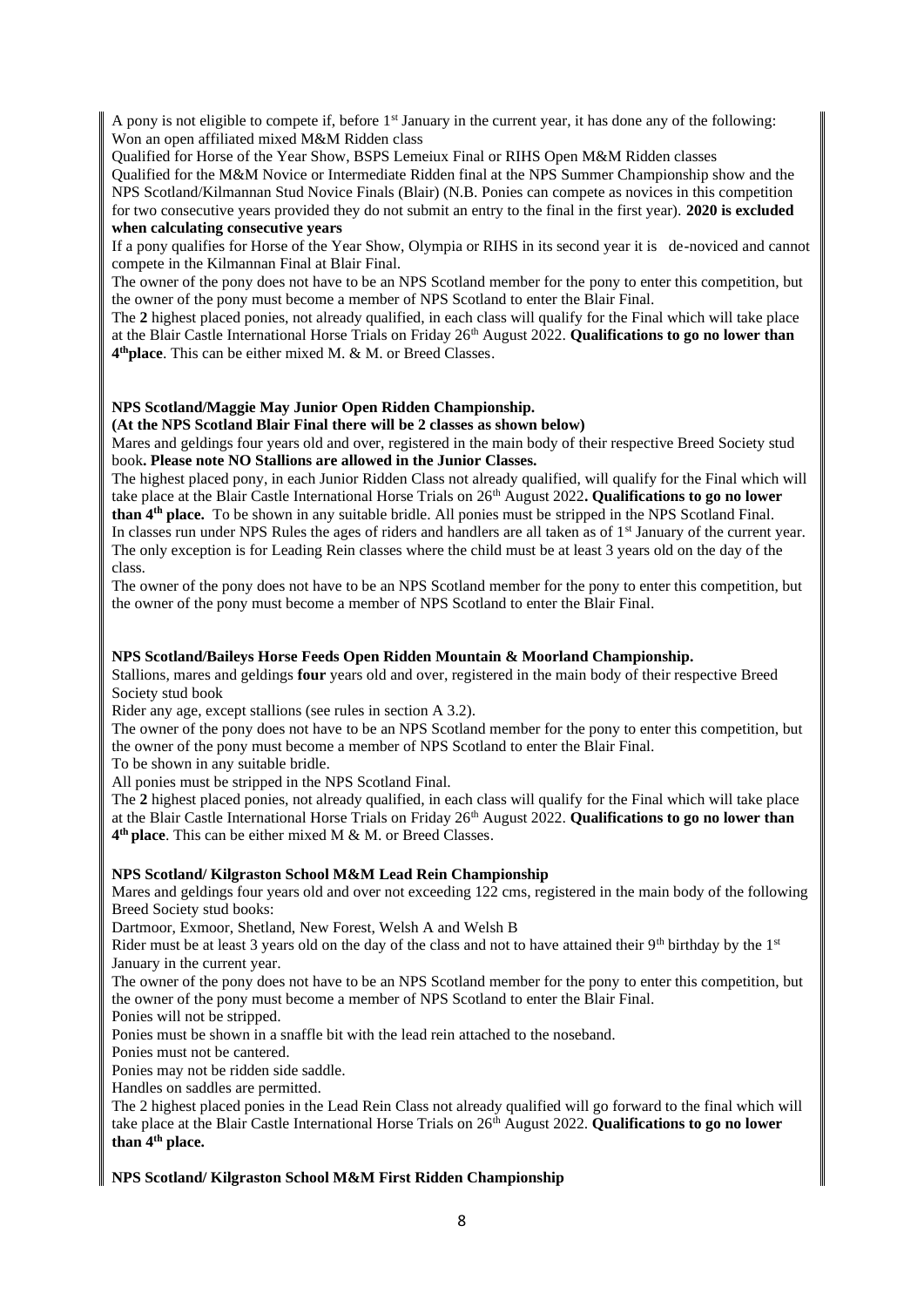A pony is not eligible to compete if, before 1st January in the current year, it has done any of the following: Won an open affiliated mixed M&M Ridden class

Qualified for Horse of the Year Show, BSPS Lemeiux Final or RIHS Open M&M Ridden classes

Qualified for the M&M Novice or Intermediate Ridden final at the NPS Summer Championship show and the NPS Scotland/Kilmannan Stud Novice Finals (Blair) (N.B. Ponies can compete as novices in this competition for two consecutive years provided they do not submit an entry to the final in the first year). **2020 is excluded when calculating consecutive years**

If a pony qualifies for Horse of the Year Show, Olympia or RIHS in its second year it is de-noviced and cannot compete in the Kilmannan Final at Blair Final.

The owner of the pony does not have to be an NPS Scotland member for the pony to enter this competition, but the owner of the pony must become a member of NPS Scotland to enter the Blair Final.

The **2** highest placed ponies, not already qualified, in each class will qualify for the Final which will take place at the Blair Castle International Horse Trials on Friday 26th August 2022. **Qualifications to go no lower than 4 thplace**. This can be either mixed M. & M. or Breed Classes.

#### **NPS Scotland/Maggie May Junior Open Ridden Championship.**

**(At the NPS Scotland Blair Final there will be 2 classes as shown below)**

Mares and geldings four years old and over, registered in the main body of their respective Breed Society stud book**. Please note NO Stallions are allowed in the Junior Classes.**

The highest placed pony, in each Junior Ridden Class not already qualified, will qualify for the Final which will take place at the Blair Castle International Horse Trials on 26<sup>th</sup> August 2022. **Qualifications to go no lower than 4th place.** To be shown in any suitable bridle. All ponies must be stripped in the NPS Scotland Final. In classes run under NPS Rules the ages of riders and handlers are all taken as of 1<sup>st</sup> January of the current year. The only exception is for Leading Rein classes where the child must be at least 3 years old on the day of the class.

The owner of the pony does not have to be an NPS Scotland member for the pony to enter this competition, but the owner of the pony must become a member of NPS Scotland to enter the Blair Final.

#### **NPS Scotland/Baileys Horse Feeds Open Ridden Mountain & Moorland Championship.**

Stallions, mares and geldings **four** years old and over, registered in the main body of their respective Breed Society stud book

Rider any age, except stallions (see rules in section A 3.2).

The owner of the pony does not have to be an NPS Scotland member for the pony to enter this competition, but the owner of the pony must become a member of NPS Scotland to enter the Blair Final.

To be shown in any suitable bridle.

All ponies must be stripped in the NPS Scotland Final.

The **2** highest placed ponies, not already qualified, in each class will qualify for the Final which will take place at the Blair Castle International Horse Trials on Friday 26th August 2022. **Qualifications to go no lower than 4 th place**. This can be either mixed M & M. or Breed Classes.

#### **NPS Scotland/ Kilgraston School M&M Lead Rein Championship**

Mares and geldings four years old and over not exceeding 122 cms, registered in the main body of the following Breed Society stud books:

Dartmoor, Exmoor, Shetland, New Forest, Welsh A and Welsh B

Rider must be at least 3 years old on the day of the class and not to have attained their  $9<sup>th</sup>$  birthday by the  $1<sup>st</sup>$ January in the current year.

The owner of the pony does not have to be an NPS Scotland member for the pony to enter this competition, but the owner of the pony must become a member of NPS Scotland to enter the Blair Final.

Ponies will not be stripped.

Ponies must be shown in a snaffle bit with the lead rein attached to the noseband.

Ponies must not be cantered.

Ponies may not be ridden side saddle.

Handles on saddles are permitted.

The 2 highest placed ponies in the Lead Rein Class not already qualified will go forward to the final which will take place at the Blair Castle International Horse Trials on 26<sup>th</sup> August 2022. **Qualifications to go no lower than 4th place.**

#### **NPS Scotland/ Kilgraston School M&M First Ridden Championship**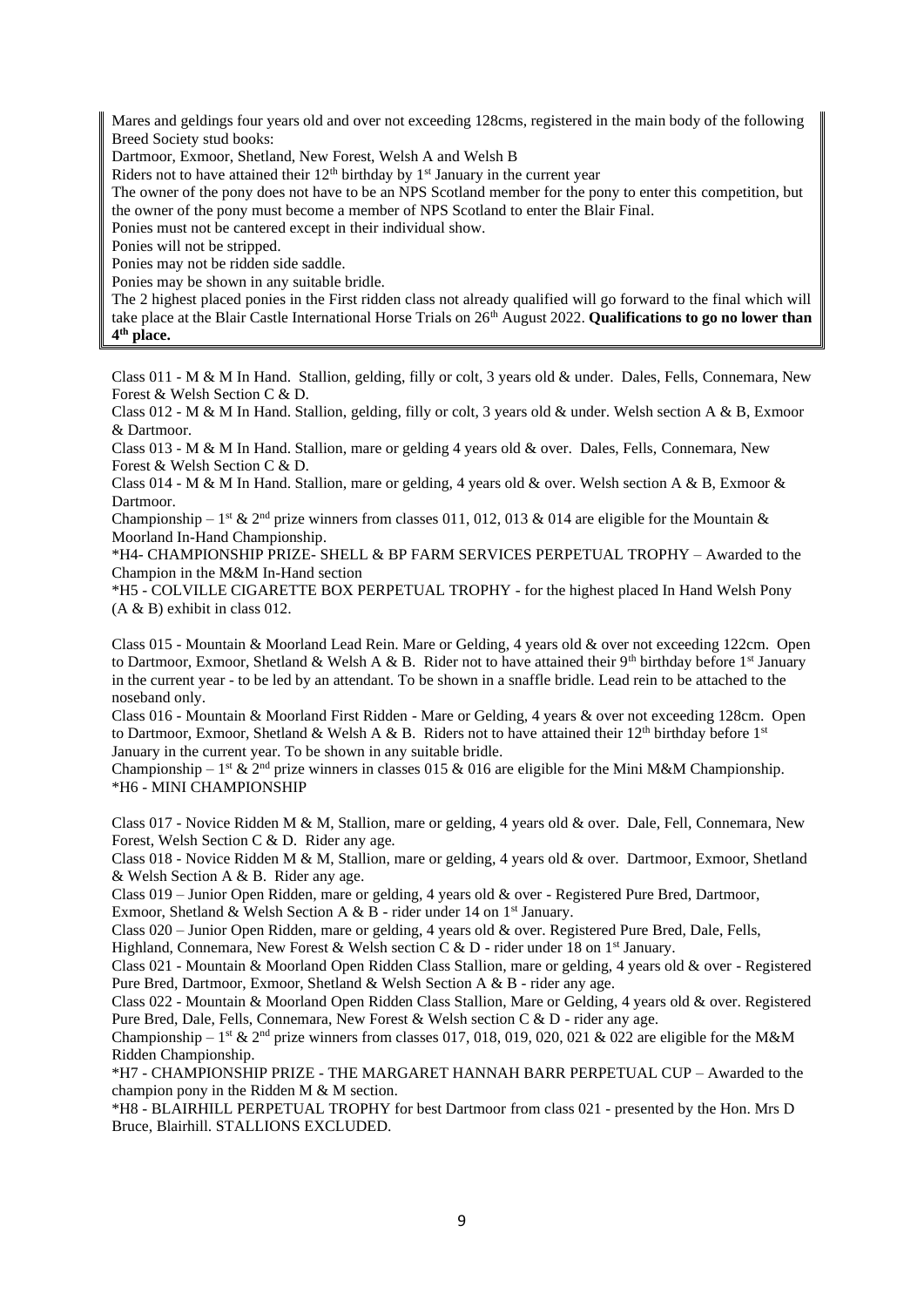Mares and geldings four years old and over not exceeding 128cms, registered in the main body of the following Breed Society stud books:

Dartmoor, Exmoor, Shetland, New Forest, Welsh A and Welsh B

Riders not to have attained their  $12<sup>th</sup>$  birthday by  $1<sup>st</sup>$  January in the current year

The owner of the pony does not have to be an NPS Scotland member for the pony to enter this competition, but the owner of the pony must become a member of NPS Scotland to enter the Blair Final.

Ponies must not be cantered except in their individual show.

Ponies will not be stripped.

Ponies may not be ridden side saddle.

Ponies may be shown in any suitable bridle.

The 2 highest placed ponies in the First ridden class not already qualified will go forward to the final which will take place at the Blair Castle International Horse Trials on 26<sup>th</sup> August 2022. **Qualifications to go no lower than 4 th place.**

Class 011 - M & M In Hand. Stallion, gelding, filly or colt, 3 years old & under. Dales, Fells, Connemara, New Forest & Welsh Section C & D.

Class 012 - M & M In Hand. Stallion, gelding, filly or colt, 3 years old & under. Welsh section A & B, Exmoor & Dartmoor.

Class 013 - M & M In Hand. Stallion, mare or gelding 4 years old & over. Dales, Fells, Connemara, New Forest & Welsh Section C & D.

Class 014 - M & M In Hand. Stallion, mare or gelding, 4 years old & over. Welsh section A & B, Exmoor & Dartmoor.

Championship – 1<sup>st</sup> & 2<sup>nd</sup> prize winners from classes 011, 012, 013 & 014 are eligible for the Mountain & Moorland In-Hand Championship.

\*H4- CHAMPIONSHIP PRIZE- SHELL & BP FARM SERVICES PERPETUAL TROPHY – Awarded to the Champion in the M&M In-Hand section

\*H5 - COLVILLE CIGARETTE BOX PERPETUAL TROPHY - for the highest placed In Hand Welsh Pony (A & B) exhibit in class 012.

Class 015 - Mountain & Moorland Lead Rein. Mare or Gelding, 4 years old & over not exceeding 122cm. Open to Dartmoor, Exmoor, Shetland & Welsh A & B. Rider not to have attained their 9th birthday before 1<sup>st</sup> January in the current year - to be led by an attendant. To be shown in a snaffle bridle. Lead rein to be attached to the noseband only.

Class 016 - Mountain & Moorland First Ridden - Mare or Gelding, 4 years & over not exceeding 128cm. Open to Dartmoor, Exmoor, Shetland & Welsh A & B. Riders not to have attained their  $12^{th}$  birthday before  $1^{st}$ January in the current year. To be shown in any suitable bridle.

Championship –  $1^{st}$  &  $2^{nd}$  prize winners in classes 015 & 016 are eligible for the Mini M&M Championship. \*H6 - MINI CHAMPIONSHIP

Class 017 - Novice Ridden M & M, Stallion, mare or gelding, 4 years old & over. Dale, Fell, Connemara, New Forest, Welsh Section C & D. Rider any age.

Class 018 - Novice Ridden M & M, Stallion, mare or gelding, 4 years old & over. Dartmoor, Exmoor, Shetland & Welsh Section A & B. Rider any age.

Class 019 – Junior Open Ridden, mare or gelding, 4 years old & over - Registered Pure Bred, Dartmoor, Exmoor, Shetland & Welsh Section A & B - rider under 14 on  $1<sup>st</sup>$  January.

Class 020 – Junior Open Ridden, mare or gelding, 4 years old & over. Registered Pure Bred, Dale, Fells,

Highland, Connemara, New Forest & Welsh section C & D - rider under 18 on 1<sup>st</sup> January.

Class 021 - Mountain & Moorland Open Ridden Class Stallion, mare or gelding, 4 years old & over - Registered Pure Bred, Dartmoor, Exmoor, Shetland & Welsh Section A & B - rider any age.

Class 022 - Mountain & Moorland Open Ridden Class Stallion, Mare or Gelding, 4 years old & over. Registered Pure Bred, Dale, Fells, Connemara, New Forest & Welsh section C & D - rider any age.

Championship – 1<sup>st</sup> & 2<sup>nd</sup> prize winners from classes 017, 018, 019, 020, 021 & 022 are eligible for the M&M Ridden Championship.

\*H7 - CHAMPIONSHIP PRIZE - THE MARGARET HANNAH BARR PERPETUAL CUP – Awarded to the champion pony in the Ridden M & M section.

\*H8 - BLAIRHILL PERPETUAL TROPHY for best Dartmoor from class 021 - presented by the Hon. Mrs D Bruce, Blairhill. STALLIONS EXCLUDED.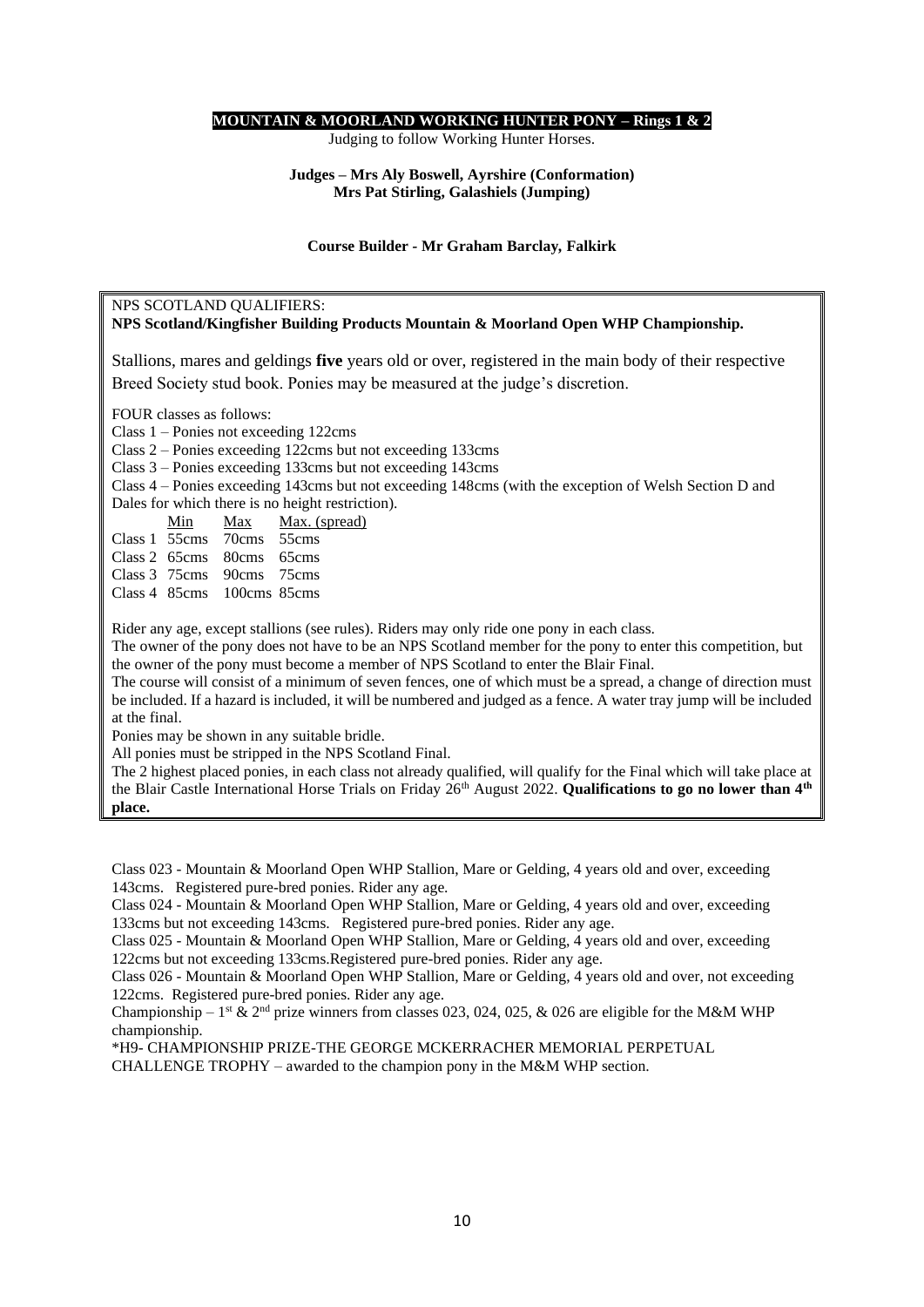#### **MOUNTAIN & MOORLAND WORKING HUNTER PONY – Rings 1 & 2**

Judging to follow Working Hunter Horses.

#### **Judges – Mrs Aly Boswell, Ayrshire (Conformation) Mrs Pat Stirling, Galashiels (Jumping)**

#### **Course Builder** *-* **Mr Graham Barclay***,* **Falkirk**

#### NPS SCOTLAND QUALIFIERS:

#### **NPS Scotland/Kingfisher Building Products Mountain & Moorland Open WHP Championship.**

Stallions, mares and geldings **five** years old or over, registered in the main body of their respective Breed Society stud book. Ponies may be measured at the judge's discretion.

FOUR classes as follows:

Class 1 – Ponies not exceeding 122cms

Class 2 – Ponies exceeding 122cms but not exceeding 133cms

Class 3 – Ponies exceeding 133cms but not exceeding 143cms

Class 4 – Ponies exceeding 143cms but not exceeding 148cms (with the exception of Welsh Section D and

Dales for which there is no height restriction).

|  | Min Max Max. (spread)<br>Class 1 55cms 70cms 55cms<br>Class 2 65cms 80cms 65cms<br>Class 3 75cms 90cms 75cms<br>Class 4 85cms 100cms 85cms |
|--|--------------------------------------------------------------------------------------------------------------------------------------------|

Rider any age, except stallions (see rules). Riders may only ride one pony in each class.

The owner of the pony does not have to be an NPS Scotland member for the pony to enter this competition, but the owner of the pony must become a member of NPS Scotland to enter the Blair Final.

The course will consist of a minimum of seven fences, one of which must be a spread, a change of direction must be included. If a hazard is included, it will be numbered and judged as a fence. A water tray jump will be included at the final.

Ponies may be shown in any suitable bridle.

All ponies must be stripped in the NPS Scotland Final.

The 2 highest placed ponies, in each class not already qualified, will qualify for the Final which will take place at the Blair Castle International Horse Trials on Friday 26<sup>th</sup> August 2022. **Qualifications to go no lower than 4<sup>th</sup> place.**

Class 023 - Mountain & Moorland Open WHP Stallion, Mare or Gelding, 4 years old and over, exceeding 143cms. Registered pure-bred ponies. Rider any age.

Class 024 - Mountain & Moorland Open WHP Stallion, Mare or Gelding, 4 years old and over, exceeding 133cms but not exceeding 143cms. Registered pure-bred ponies. Rider any age.

Class 025 - Mountain & Moorland Open WHP Stallion, Mare or Gelding, 4 years old and over, exceeding 122cms but not exceeding 133cms.Registered pure-bred ponies. Rider any age.

Class 026 - Mountain & Moorland Open WHP Stallion, Mare or Gelding, 4 years old and over, not exceeding 122cms. Registered pure-bred ponies. Rider any age.

Championship – 1<sup>st</sup> & 2<sup>nd</sup> prize winners from classes 023, 024, 025, & 026 are eligible for the M&M WHP championship.

\*H9- CHAMPIONSHIP PRIZE-THE GEORGE MCKERRACHER MEMORIAL PERPETUAL CHALLENGE TROPHY – awarded to the champion pony in the M&M WHP section.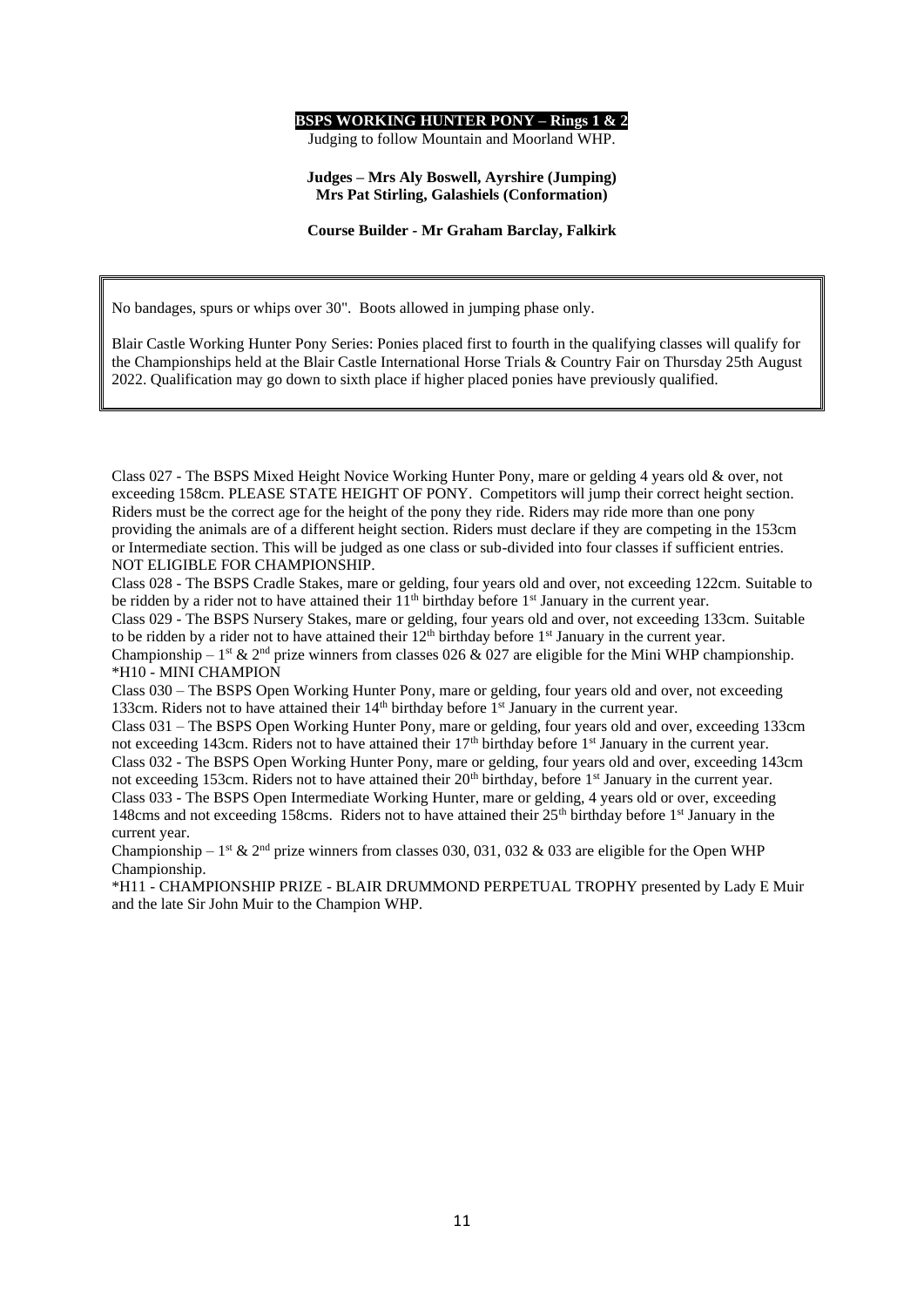#### **BSPS WORKING HUNTER PONY – Rings 1 & 2**

Judging to follow Mountain and Moorland WHP.

#### **Judges – Mrs Aly Boswell, Ayrshire (Jumping) Mrs Pat Stirling, Galashiels (Conformation)**

**Course Builder** *-* **Mr Graham Barclay, Falkirk**

No bandages, spurs or whips over 30". Boots allowed in jumping phase only.

Blair Castle Working Hunter Pony Series: Ponies placed first to fourth in the qualifying classes will qualify for the Championships held at the Blair Castle International Horse Trials & Country Fair on Thursday 25th August 2022. Qualification may go down to sixth place if higher placed ponies have previously qualified.

Class 027 - The BSPS Mixed Height Novice Working Hunter Pony, mare or gelding 4 years old & over, not exceeding 158cm. PLEASE STATE HEIGHT OF PONY. Competitors will jump their correct height section. Riders must be the correct age for the height of the pony they ride. Riders may ride more than one pony providing the animals are of a different height section. Riders must declare if they are competing in the 153cm or Intermediate section. This will be judged as one class or sub-divided into four classes if sufficient entries. NOT ELIGIBLE FOR CHAMPIONSHIP.

Class 028 - The BSPS Cradle Stakes, mare or gelding, four years old and over, not exceeding 122cm. Suitable to be ridden by a rider not to have attained their  $11<sup>th</sup>$  birthday before  $1<sup>st</sup>$  January in the current year.

Class 029 - The BSPS Nursery Stakes, mare or gelding, four years old and over, not exceeding 133cm. Suitable to be ridden by a rider not to have attained their 12<sup>th</sup> birthday before 1<sup>st</sup> January in the current year.

Championship –  $1^{\text{st}}$  &  $2^{\text{nd}}$  prize winners from classes 026 & 027 are eligible for the Mini WHP championship. \*H10 - MINI CHAMPION

Class 030 – The BSPS Open Working Hunter Pony, mare or gelding, four years old and over, not exceeding 133cm. Riders not to have attained their  $14<sup>th</sup>$  birthday before  $1<sup>st</sup>$  January in the current year.

Class 031 – The BSPS Open Working Hunter Pony, mare or gelding, four years old and over, exceeding 133cm not exceeding 143cm. Riders not to have attained their 17<sup>th</sup> birthday before 1<sup>st</sup> January in the current year. Class 032 - The BSPS Open Working Hunter Pony, mare or gelding, four years old and over, exceeding 143cm not exceeding 153cm. Riders not to have attained their  $20<sup>th</sup>$  birthday, before 1<sup>st</sup> January in the current year. Class 033 - The BSPS Open Intermediate Working Hunter, mare or gelding, 4 years old or over, exceeding 148cms and not exceeding 158cms. Riders not to have attained their  $25<sup>th</sup>$  birthday before 1<sup>st</sup> January in the current year.

Championship – 1<sup>st</sup> & 2<sup>nd</sup> prize winners from classes 030, 031, 032 & 033 are eligible for the Open WHP Championship.

\*H11 - CHAMPIONSHIP PRIZE - BLAIR DRUMMOND PERPETUAL TROPHY presented by Lady E Muir and the late Sir John Muir to the Champion WHP.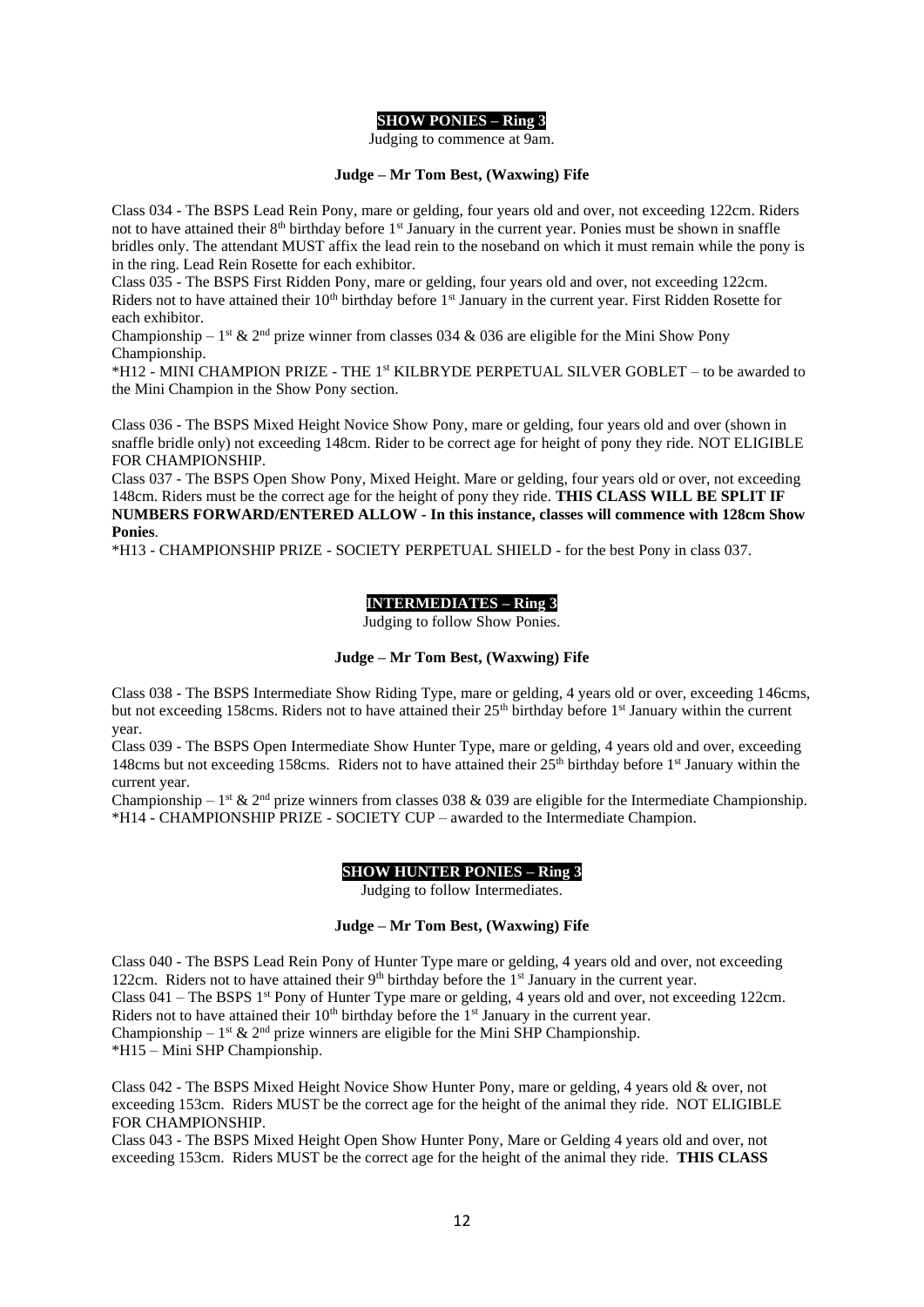#### **SHOW PONIES – Ring 3**

Judging to commence at 9am.

#### **Judge – Mr Tom Best, (Waxwing) Fife**

Class 034 - The BSPS Lead Rein Pony, mare or gelding, four years old and over, not exceeding 122cm. Riders not to have attained their 8<sup>th</sup> birthday before 1<sup>st</sup> January in the current year. Ponies must be shown in snaffle bridles only. The attendant MUST affix the lead rein to the noseband on which it must remain while the pony is in the ring. Lead Rein Rosette for each exhibitor.

Class 035 - The BSPS First Ridden Pony, mare or gelding, four years old and over, not exceeding 122cm. Riders not to have attained their 10<sup>th</sup> birthday before 1<sup>st</sup> January in the current year. First Ridden Rosette for each exhibitor.

Championship –  $1^{st}$  &  $2^{nd}$  prize winner from classes 034 & 036 are eligible for the Mini Show Pony Championship.

\*H12 - MINI CHAMPION PRIZE - THE 1st KILBRYDE PERPETUAL SILVER GOBLET – to be awarded to the Mini Champion in the Show Pony section.

Class 036 - The BSPS Mixed Height Novice Show Pony, mare or gelding, four years old and over (shown in snaffle bridle only) not exceeding 148cm. Rider to be correct age for height of pony they ride. NOT ELIGIBLE FOR CHAMPIONSHIP.

Class 037 - The BSPS Open Show Pony, Mixed Height. Mare or gelding, four years old or over, not exceeding 148cm. Riders must be the correct age for the height of pony they ride. **THIS CLASS WILL BE SPLIT IF NUMBERS FORWARD/ENTERED ALLOW - In this instance, classes will commence with 128cm Show Ponies**.

\*H13 - CHAMPIONSHIP PRIZE - SOCIETY PERPETUAL SHIELD - for the best Pony in class 037.

#### **INTERMEDIATES – Ring 3**

Judging to follow Show Ponies.

#### **Judge – Mr Tom Best, (Waxwing) Fife**

Class 038 - The BSPS Intermediate Show Riding Type, mare or gelding, 4 years old or over, exceeding 146cms, but not exceeding 158cms. Riders not to have attained their 25<sup>th</sup> birthday before 1<sup>st</sup> January within the current year.

Class 039 - The BSPS Open Intermediate Show Hunter Type, mare or gelding, 4 years old and over, exceeding 148cms but not exceeding 158cms. Riders not to have attained their  $25<sup>th</sup>$  birthday before 1st January within the current year.

Championship –  $1^{st}$  &  $2^{nd}$  prize winners from classes 038 & 039 are eligible for the Intermediate Championship. \*H14 - CHAMPIONSHIP PRIZE - SOCIETY CUP – awarded to the Intermediate Champion.

#### **SHOW HUNTER PONIES – Ring 3**

Judging to follow Intermediates.

#### **Judge – Mr Tom Best, (Waxwing) Fife**

Class 040 - The BSPS Lead Rein Pony of Hunter Type mare or gelding, 4 years old and over, not exceeding 122cm. Riders not to have attained their  $9<sup>th</sup>$  birthday before the 1<sup>st</sup> January in the current year. Class  $041$  – The BSPS 1<sup>st</sup> Pony of Hunter Type mare or gelding, 4 years old and over, not exceeding 122cm. Riders not to have attained their  $10<sup>th</sup>$  birthday before the  $1<sup>st</sup>$  January in the current year. Championship –  $1^{st}$  &  $2^{nd}$  prize winners are eligible for the Mini SHP Championship. \*H15 – Mini SHP Championship.

Class 042 - The BSPS Mixed Height Novice Show Hunter Pony, mare or gelding, 4 years old & over, not exceeding 153cm. Riders MUST be the correct age for the height of the animal they ride. NOT ELIGIBLE FOR CHAMPIONSHIP.

Class 043 - The BSPS Mixed Height Open Show Hunter Pony, Mare or Gelding 4 years old and over, not exceeding 153cm. Riders MUST be the correct age for the height of the animal they ride. **THIS CLASS**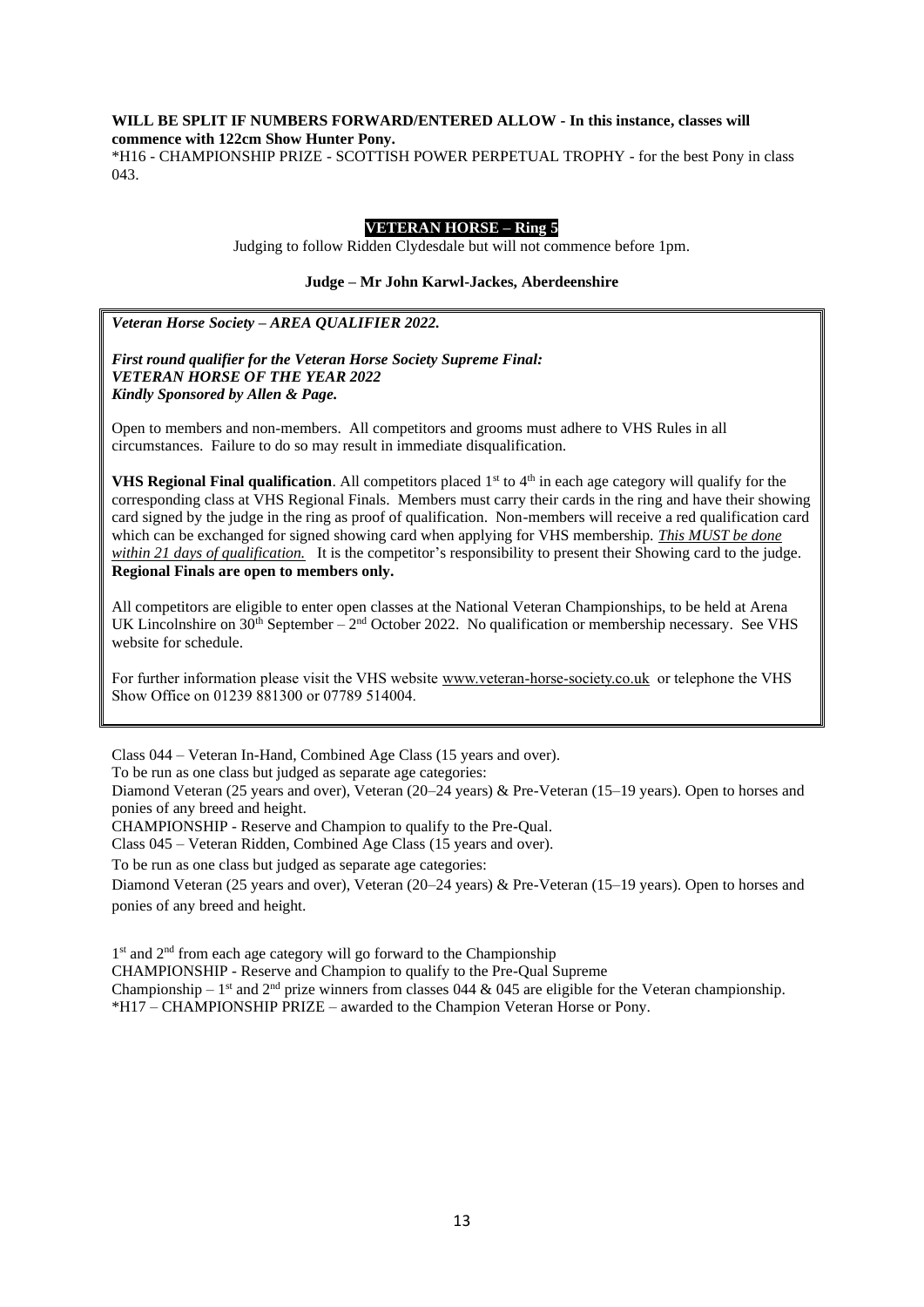#### **WILL BE SPLIT IF NUMBERS FORWARD/ENTERED ALLOW - In this instance, classes will commence with 122cm Show Hunter Pony.**

\*H16 - CHAMPIONSHIP PRIZE - SCOTTISH POWER PERPETUAL TROPHY - for the best Pony in class 043.

#### **VETERAN HORSE – Ring 5**

Judging to follow Ridden Clydesdale but will not commence before 1pm.

#### **Judge – Mr John Karwl-Jackes, Aberdeenshire**

*Veteran Horse Society – AREA QUALIFIER 2022.*

#### *First round qualifier for the Veteran Horse Society Supreme Final: VETERAN HORSE OF THE YEAR 2022 Kindly Sponsored by Allen & Page.*

Open to members and non-members. All competitors and grooms must adhere to VHS Rules in all circumstances. Failure to do so may result in immediate disqualification.

**VHS Regional Final qualification**. All competitors placed 1<sup>st</sup> to 4<sup>th</sup> in each age category will qualify for the corresponding class at VHS Regional Finals. Members must carry their cards in the ring and have their showing card signed by the judge in the ring as proof of qualification. Non-members will receive a red qualification card which can be exchanged for signed showing card when applying for VHS membership. *This MUST be done within 21 days of qualification.* It is the competitor's responsibility to present their Showing card to the judge. **Regional Finals are open to members only.**

All competitors are eligible to enter open classes at the National Veteran Championships, to be held at Arena UK Lincolnshire on  $30<sup>th</sup>$  September –  $2<sup>nd</sup>$  October 2022. No qualification or membership necessary. See VHS website for schedule.

For further information please visit the VHS website [www.veteran-horse-society.co.uk](http://www.veteran-horse-society.co.uk/) or telephone the VHS Show Office on 01239 881300 or 07789 514004.

Class 044 – Veteran In-Hand, Combined Age Class (15 years and over).

To be run as one class but judged as separate age categories:

Diamond Veteran (25 years and over), Veteran (20–24 years) & Pre-Veteran (15–19 years). Open to horses and ponies of any breed and height.

CHAMPIONSHIP - Reserve and Champion to qualify to the Pre-Qual.

Class 045 – Veteran Ridden, Combined Age Class (15 years and over).

To be run as one class but judged as separate age categories:

Diamond Veteran (25 years and over), Veteran (20–24 years) & Pre-Veteran (15–19 years). Open to horses and ponies of any breed and height.

1<sup>st</sup> and 2<sup>nd</sup> from each age category will go forward to the Championship

CHAMPIONSHIP - Reserve and Champion to qualify to the Pre-Qual Supreme

Championship –  $1<sup>st</sup>$  and  $2<sup>nd</sup>$  prize winners from classes 044 & 045 are eligible for the Veteran championship. \*H17 – CHAMPIONSHIP PRIZE – awarded to the Champion Veteran Horse or Pony.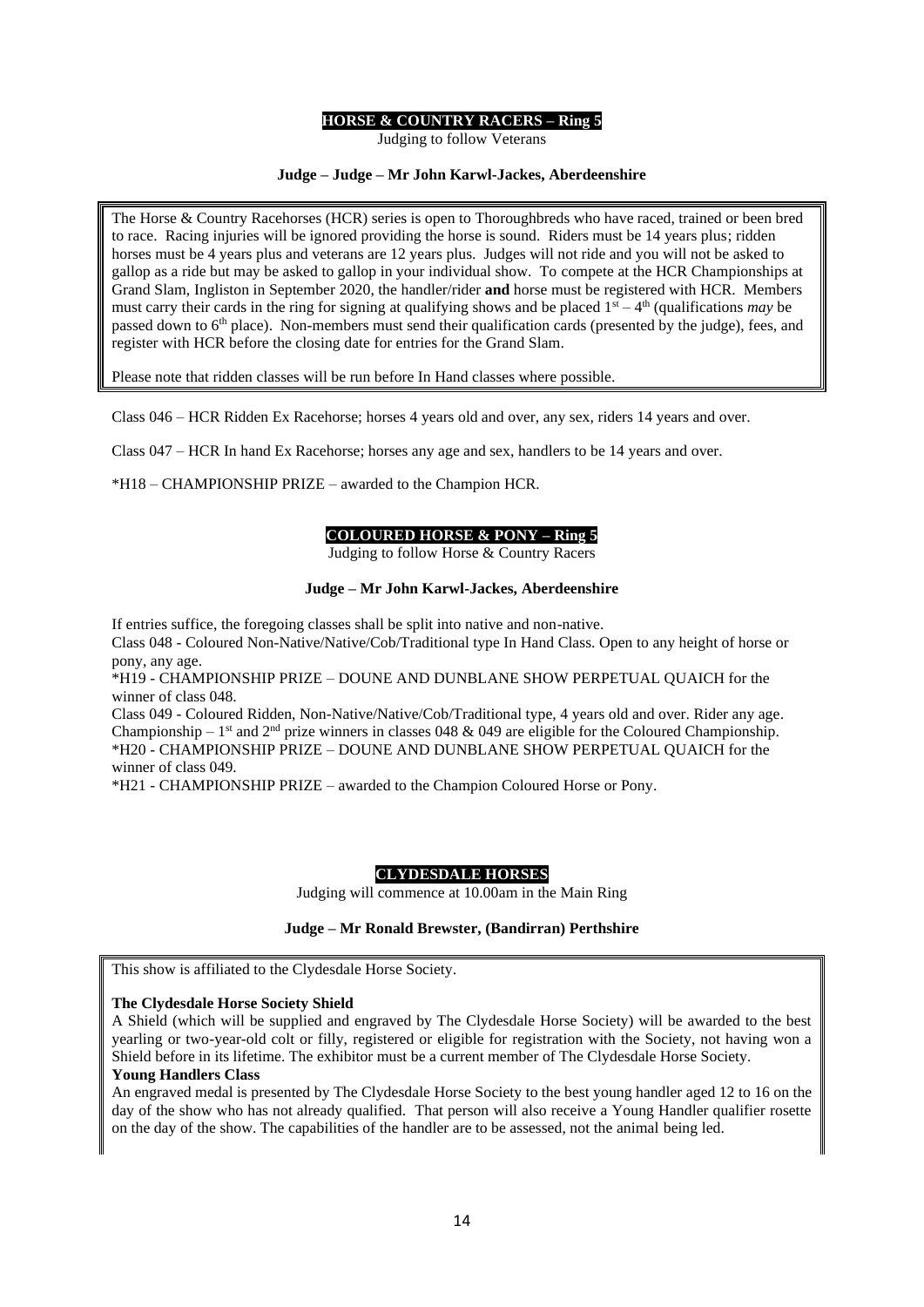#### **HORSE & COUNTRY RACERS – Ring 5**

Judging to follow Veterans

#### **Judge – Judge – Mr John Karwl-Jackes, Aberdeenshire**

The Horse & Country Racehorses (HCR) series is open to Thoroughbreds who have raced, trained or been bred to race. Racing injuries will be ignored providing the horse is sound. Riders must be 14 years plus; ridden horses must be 4 years plus and veterans are 12 years plus. Judges will not ride and you will not be asked to gallop as a ride but may be asked to gallop in your individual show. To compete at the HCR Championships at Grand Slam, Ingliston in September 2020, the handler/rider **and** horse must be registered with HCR. Members must carry their cards in the ring for signing at qualifying shows and be placed  $1<sup>st</sup> - 4<sup>th</sup>$  (qualifications *may* be passed down to 6<sup>th</sup> place). Non-members must send their qualification cards (presented by the judge), fees, and register with HCR before the closing date for entries for the Grand Slam.

Please note that ridden classes will be run before In Hand classes where possible.

Class 046 – HCR Ridden Ex Racehorse; horses 4 years old and over, any sex, riders 14 years and over.

Class 047 – HCR In hand Ex Racehorse; horses any age and sex, handlers to be 14 years and over.

\*H18 – CHAMPIONSHIP PRIZE – awarded to the Champion HCR.

#### **COLOURED HORSE & PONY – Ring 5**

Judging to follow Horse & Country Racers

#### **Judge – Mr John Karwl-Jackes, Aberdeenshire**

If entries suffice, the foregoing classes shall be split into native and non-native.

Class 048 - Coloured Non-Native/Native/Cob/Traditional type In Hand Class. Open to any height of horse or pony, any age.

\*H19 - CHAMPIONSHIP PRIZE – DOUNE AND DUNBLANE SHOW PERPETUAL QUAICH for the winner of class 048.

Class 049 - Coloured Ridden, Non-Native/Native/Cob/Traditional type, 4 years old and over. Rider any age. Championship – 1<sup>st</sup> and 2<sup>nd</sup> prize winners in classes 048 & 049 are eligible for the Coloured Championship. \*H20 - CHAMPIONSHIP PRIZE – DOUNE AND DUNBLANE SHOW PERPETUAL QUAICH for the winner of class 049.

\*H21 - CHAMPIONSHIP PRIZE – awarded to the Champion Coloured Horse or Pony.

#### **CLYDESDALE HORSES**

Judging will commence at 10.00am in the Main Ring

#### **Judge – Mr Ronald Brewster, (Bandirran) Perthshire**

This show is affiliated to the Clydesdale Horse Society.

#### **The Clydesdale Horse Society Shield**

A Shield (which will be supplied and engraved by The Clydesdale Horse Society) will be awarded to the best yearling or two-year-old colt or filly, registered or eligible for registration with the Society, not having won a Shield before in its lifetime. The exhibitor must be a current member of The Clydesdale Horse Society.

#### **Young Handlers Class**

An engraved medal is presented by The Clydesdale Horse Society to the best young handler aged 12 to 16 on the day of the show who has not already qualified. That person will also receive a Young Handler qualifier rosette on the day of the show. The capabilities of the handler are to be assessed, not the animal being led.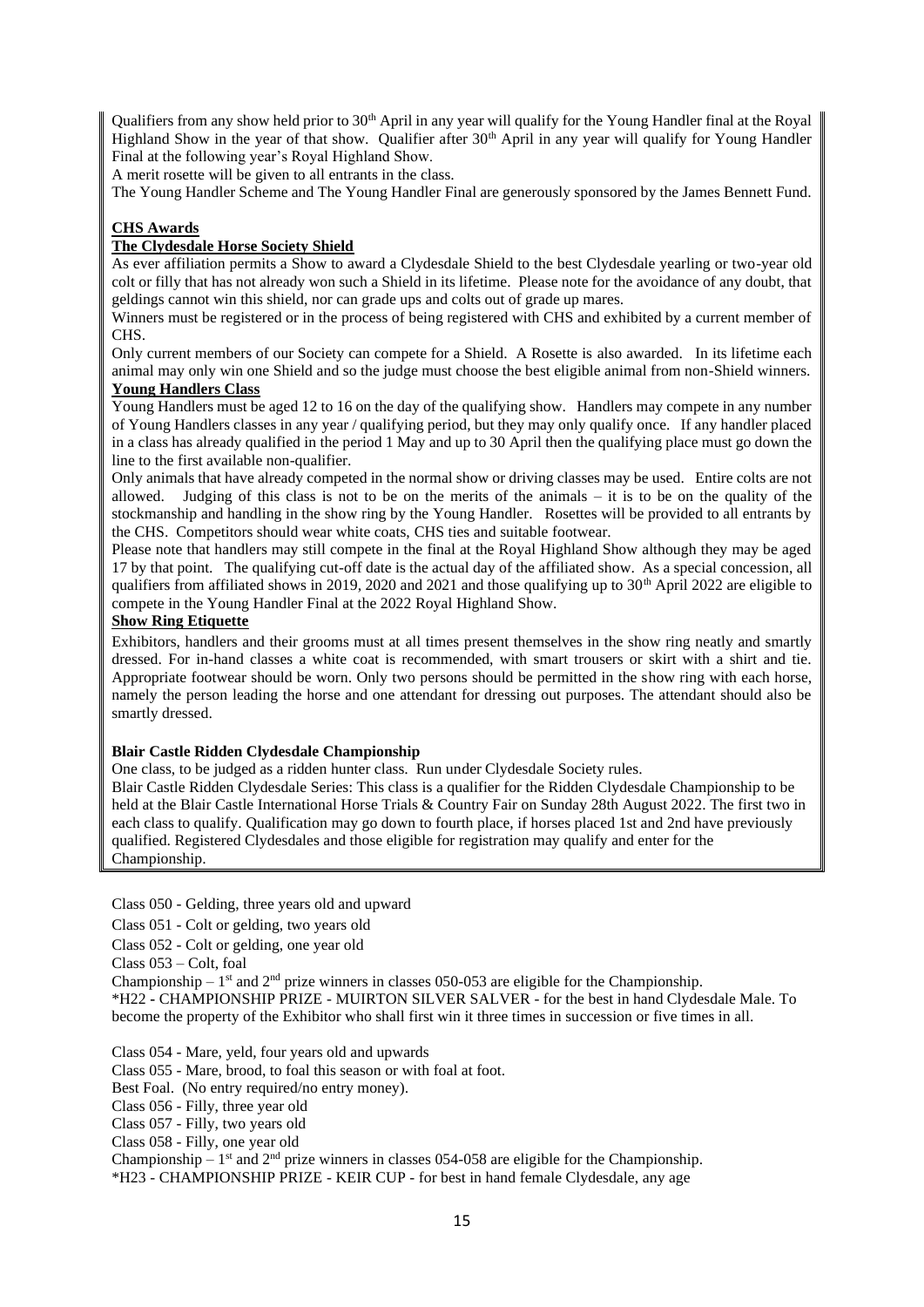Qualifiers from any show held prior to 30<sup>th</sup> April in any year will qualify for the Young Handler final at the Royal Highland Show in the year of that show. Qualifier after 30<sup>th</sup> April in any year will qualify for Young Handler Final at the following year's Royal Highland Show.

A merit rosette will be given to all entrants in the class.

The Young Handler Scheme and The Young Handler Final are generously sponsored by the James Bennett Fund.

#### **CHS Awards**

#### **The Clydesdale Horse Society Shield**

As ever affiliation permits a Show to award a Clydesdale Shield to the best Clydesdale yearling or two-year old colt or filly that has not already won such a Shield in its lifetime. Please note for the avoidance of any doubt, that geldings cannot win this shield, nor can grade ups and colts out of grade up mares.

Winners must be registered or in the process of being registered with CHS and exhibited by a current member of CHS.

Only current members of our Society can compete for a Shield. A Rosette is also awarded. In its lifetime each animal may only win one Shield and so the judge must choose the best eligible animal from non-Shield winners.

#### **Young Handlers Class**

Young Handlers must be aged 12 to 16 on the day of the qualifying show. Handlers may compete in any number of Young Handlers classes in any year / qualifying period, but they may only qualify once. If any handler placed in a class has already qualified in the period 1 May and up to 30 April then the qualifying place must go down the line to the first available non-qualifier.

Only animals that have already competed in the normal show or driving classes may be used. Entire colts are not allowed. Judging of this class is not to be on the merits of the animals – it is to be on the quality of the stockmanship and handling in the show ring by the Young Handler. Rosettes will be provided to all entrants by the CHS. Competitors should wear white coats, CHS ties and suitable footwear.

Please note that handlers may still compete in the final at the Royal Highland Show although they may be aged 17 by that point. The qualifying cut-off date is the actual day of the affiliated show. As a special concession, all qualifiers from affiliated shows in 2019, 2020 and 2021 and those qualifying up to 30<sup>th</sup> April 2022 are eligible to compete in the Young Handler Final at the 2022 Royal Highland Show.

#### **Show Ring Etiquette**

Exhibitors, handlers and their grooms must at all times present themselves in the show ring neatly and smartly dressed. For in-hand classes a white coat is recommended, with smart trousers or skirt with a shirt and tie. Appropriate footwear should be worn. Only two persons should be permitted in the show ring with each horse, namely the person leading the horse and one attendant for dressing out purposes. The attendant should also be smartly dressed.

#### **Blair Castle Ridden Clydesdale Championship**

One class, to be judged as a ridden hunter class. Run under Clydesdale Society rules.

Blair Castle Ridden Clydesdale Series: This class is a qualifier for the Ridden Clydesdale Championship to be held at the Blair Castle International Horse Trials & Country Fair on Sunday 28th August 2022. The first two in each class to qualify. Qualification may go down to fourth place, if horses placed 1st and 2nd have previously qualified. Registered Clydesdales and those eligible for registration may qualify and enter for the Championship.

Class 050 - Gelding, three years old and upward

Class 051 - Colt or gelding, two years old

Class 052 - Colt or gelding, one year old

Class 053 – Colt, foal

Championship –  $1<sup>st</sup>$  and  $2<sup>nd</sup>$  prize winners in classes 050-053 are eligible for the Championship.

\*H22 **-** CHAMPIONSHIP PRIZE - MUIRTON SILVER SALVER - for the best in hand Clydesdale Male. To become the property of the Exhibitor who shall first win it three times in succession or five times in all.

Class 054 - Mare, yeld, four years old and upwards

Class 055 - Mare, brood, to foal this season or with foal at foot.

Best Foal. (No entry required/no entry money).

Class 056 - Filly, three year old

Class 057 - Filly, two years old

Class 058 - Filly, one year old

Championship –  $1<sup>st</sup>$  and  $2<sup>nd</sup>$  prize winners in classes 054-058 are eligible for the Championship.

\*H23 - CHAMPIONSHIP PRIZE - KEIR CUP - for best in hand female Clydesdale, any age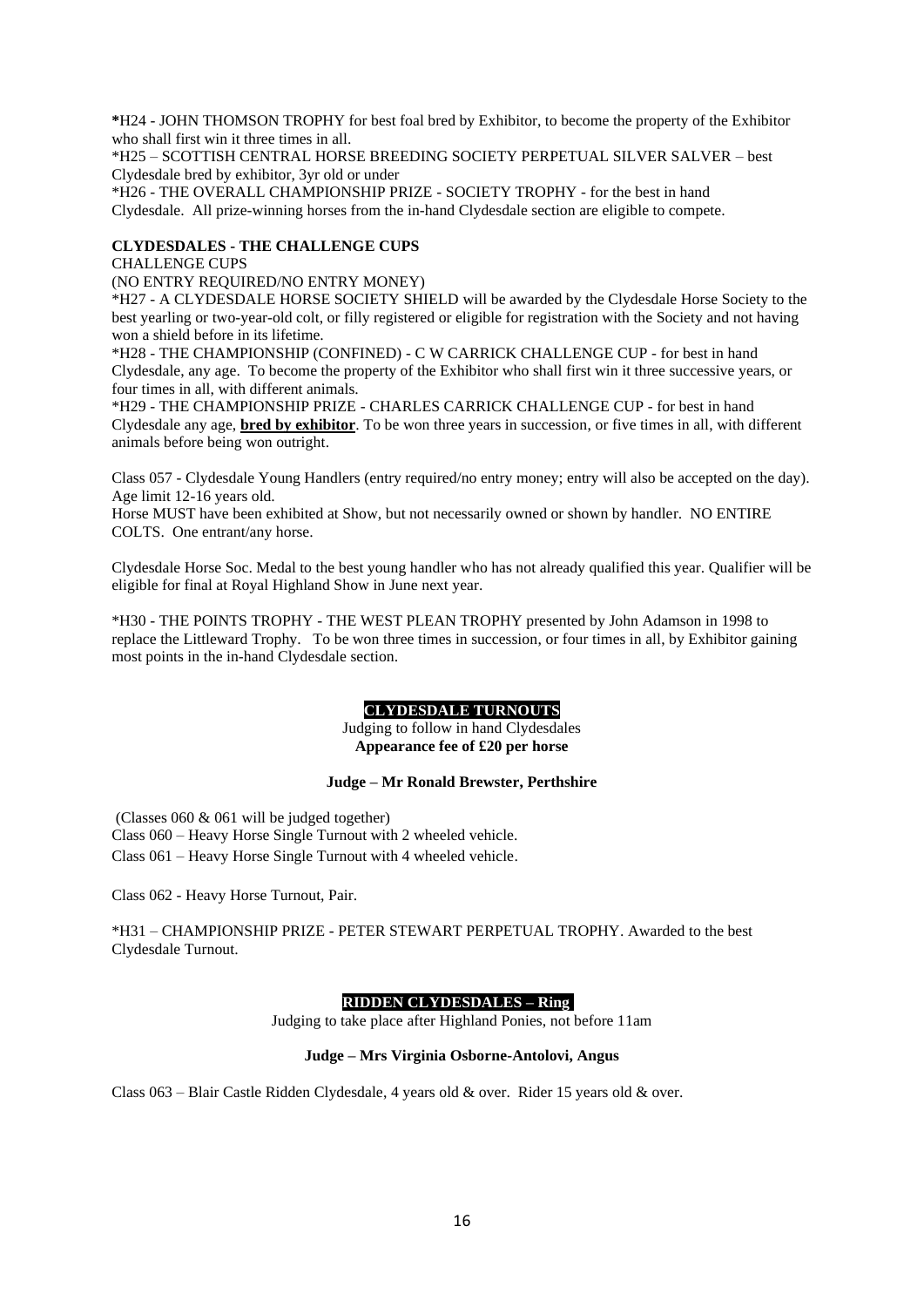**\***H24 - JOHN THOMSON TROPHY for best foal bred by Exhibitor, to become the property of the Exhibitor who shall first win it three times in all.

\*H25 – SCOTTISH CENTRAL HORSE BREEDING SOCIETY PERPETUAL SILVER SALVER – best Clydesdale bred by exhibitor, 3yr old or under

\*H26 - THE OVERALL CHAMPIONSHIP PRIZE - SOCIETY TROPHY - for the best in hand Clydesdale. All prize-winning horses from the in-hand Clydesdale section are eligible to compete.

#### **CLYDESDALES - THE CHALLENGE CUPS**

CHALLENGE CUPS

(NO ENTRY REQUIRED/NO ENTRY MONEY)

\*H27 - A CLYDESDALE HORSE SOCIETY SHIELD will be awarded by the Clydesdale Horse Society to the best yearling or two-year-old colt, or filly registered or eligible for registration with the Society and not having won a shield before in its lifetime.

\*H28 - THE CHAMPIONSHIP (CONFINED) - C W CARRICK CHALLENGE CUP - for best in hand Clydesdale, any age. To become the property of the Exhibitor who shall first win it three successive years, or four times in all, with different animals.

\*H29 - THE CHAMPIONSHIP PRIZE - CHARLES CARRICK CHALLENGE CUP - for best in hand Clydesdale any age, **bred by exhibitor**. To be won three years in succession, or five times in all, with different animals before being won outright.

Class 057 - Clydesdale Young Handlers (entry required/no entry money; entry will also be accepted on the day). Age limit 12-16 years old.

Horse MUST have been exhibited at Show, but not necessarily owned or shown by handler. NO ENTIRE COLTS. One entrant/any horse.

Clydesdale Horse Soc. Medal to the best young handler who has not already qualified this year. Qualifier will be eligible for final at Royal Highland Show in June next year.

\*H30 - THE POINTS TROPHY - THE WEST PLEAN TROPHY presented by John Adamson in 1998 to replace the Littleward Trophy. To be won three times in succession, or four times in all, by Exhibitor gaining most points in the in-hand Clydesdale section.

#### **CLYDESDALE TURNOUTS**

Judging to follow in hand Clydesdales **Appearance fee of £20 per horse**

#### **Judge – Mr Ronald Brewster, Perthshire**

(Classes 060 & 061 will be judged together) Class 060 – Heavy Horse Single Turnout with 2 wheeled vehicle. Class 061 – Heavy Horse Single Turnout with 4 wheeled vehicle.

Class 062 - Heavy Horse Turnout, Pair.

\*H31 – CHAMPIONSHIP PRIZE - PETER STEWART PERPETUAL TROPHY. Awarded to the best Clydesdale Turnout.

#### **RIDDEN CLYDESDALES - Ring**

Judging to take place after Highland Ponies, not before 11am

#### **Judge – Mrs Virginia Osborne-Antolovi, Angus**

Class 063 – Blair Castle Ridden Clydesdale, 4 years old & over. Rider 15 years old & over.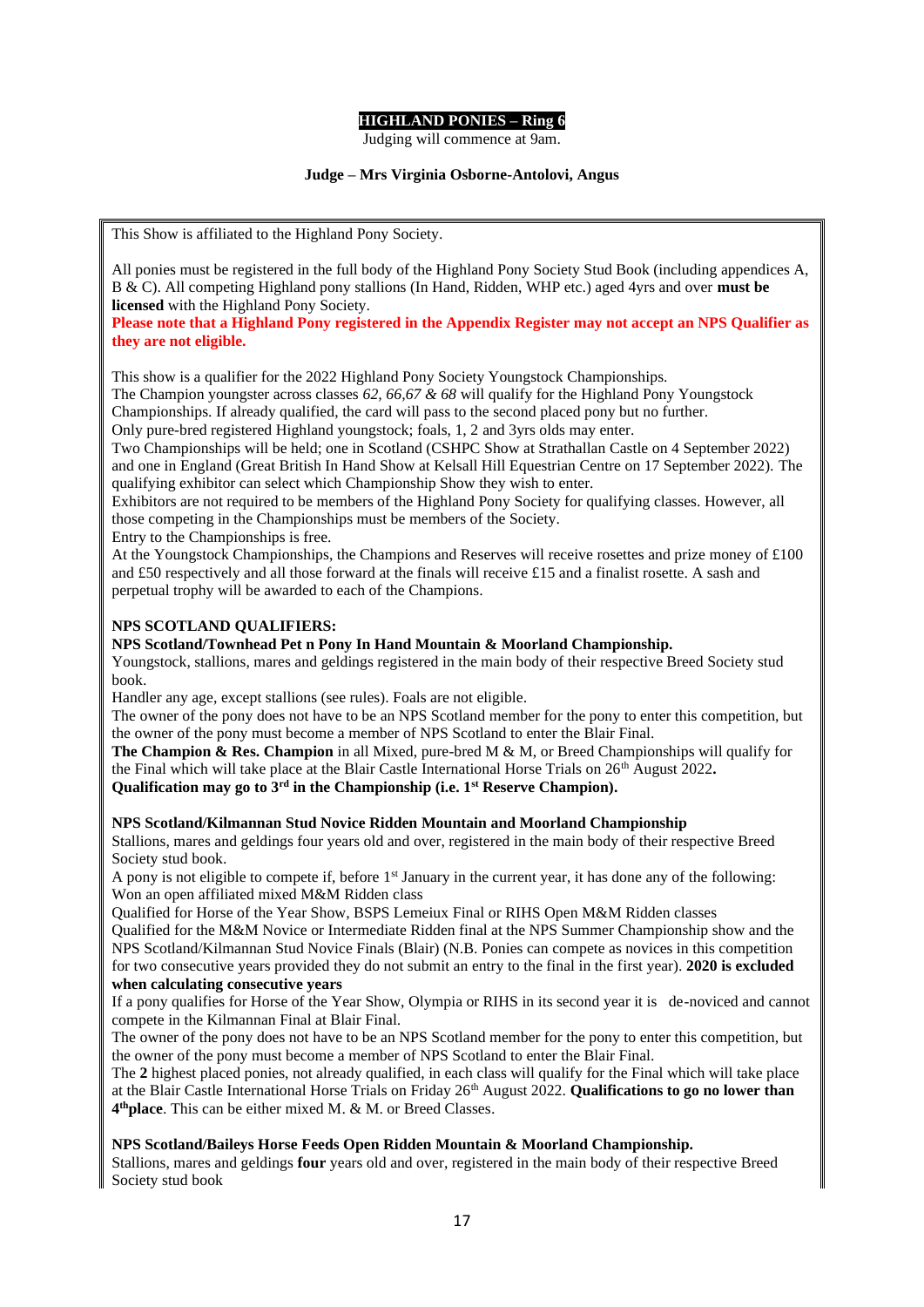#### **HIGHLAND PONIES – Ring 6**

Judging will commence at 9am.

#### **Judge – Mrs Virginia Osborne-Antolovi, Angus**

This Show is affiliated to the Highland Pony Society.

All ponies must be registered in the full body of the Highland Pony Society Stud Book (including appendices A, B & C). All competing Highland pony stallions (In Hand, Ridden, WHP etc.) aged 4yrs and over **must be licensed** with the Highland Pony Society.

**Please note that a Highland Pony registered in the Appendix Register may not accept an NPS Qualifier as they are not eligible.**

This show is a qualifier for the 2022 Highland Pony Society Youngstock Championships.

The Champion youngster across classes *62, 66,67 & 68* will qualify for the Highland Pony Youngstock Championships. If already qualified, the card will pass to the second placed pony but no further. Only pure-bred registered Highland youngstock; foals, 1, 2 and 3yrs olds may enter.

Two Championships will be held; one in Scotland (CSHPC Show at Strathallan Castle on 4 September 2022) and one in England (Great British In Hand Show at Kelsall Hill Equestrian Centre on 17 September 2022). The qualifying exhibitor can select which Championship Show they wish to enter.

Exhibitors are not required to be members of the Highland Pony Society for qualifying classes. However, all those competing in the Championships must be members of the Society.

Entry to the Championships is free.

At the Youngstock Championships, the Champions and Reserves will receive rosettes and prize money of £100 and £50 respectively and all those forward at the finals will receive £15 and a finalist rosette. A sash and perpetual trophy will be awarded to each of the Champions.

#### **NPS SCOTLAND QUALIFIERS:**

#### **NPS Scotland/Townhead Pet n Pony In Hand Mountain & Moorland Championship.**

Youngstock, stallions, mares and geldings registered in the main body of their respective Breed Society stud book.

Handler any age, except stallions (see rules). Foals are not eligible.

The owner of the pony does not have to be an NPS Scotland member for the pony to enter this competition, but the owner of the pony must become a member of NPS Scotland to enter the Blair Final.

**The Champion & Res. Champion** in all Mixed, pure-bred M & M, or Breed Championships will qualify for the Final which will take place at the Blair Castle International Horse Trials on 26th August 2022**. Qualification may go to 3rd in the Championship (i.e. 1st Reserve Champion).**

#### **NPS Scotland/Kilmannan Stud Novice Ridden Mountain and Moorland Championship**

Stallions, mares and geldings four years old and over, registered in the main body of their respective Breed Society stud book.

A pony is not eligible to compete if, before 1<sup>st</sup> January in the current year, it has done any of the following: Won an open affiliated mixed M&M Ridden class

Qualified for Horse of the Year Show, BSPS Lemeiux Final or RIHS Open M&M Ridden classes

Qualified for the M&M Novice or Intermediate Ridden final at the NPS Summer Championship show and the NPS Scotland/Kilmannan Stud Novice Finals (Blair) (N.B. Ponies can compete as novices in this competition for two consecutive years provided they do not submit an entry to the final in the first year). **2020 is excluded when calculating consecutive years**

If a pony qualifies for Horse of the Year Show, Olympia or RIHS in its second year it is de-noviced and cannot compete in the Kilmannan Final at Blair Final.

The owner of the pony does not have to be an NPS Scotland member for the pony to enter this competition, but the owner of the pony must become a member of NPS Scotland to enter the Blair Final.

The **2** highest placed ponies, not already qualified, in each class will qualify for the Final which will take place at the Blair Castle International Horse Trials on Friday 26<sup>th</sup> August 2022. **Qualifications to go no lower than 4 thplace**. This can be either mixed M. & M. or Breed Classes.

#### **NPS Scotland/Baileys Horse Feeds Open Ridden Mountain & Moorland Championship.**

Stallions, mares and geldings **four** years old and over, registered in the main body of their respective Breed Society stud book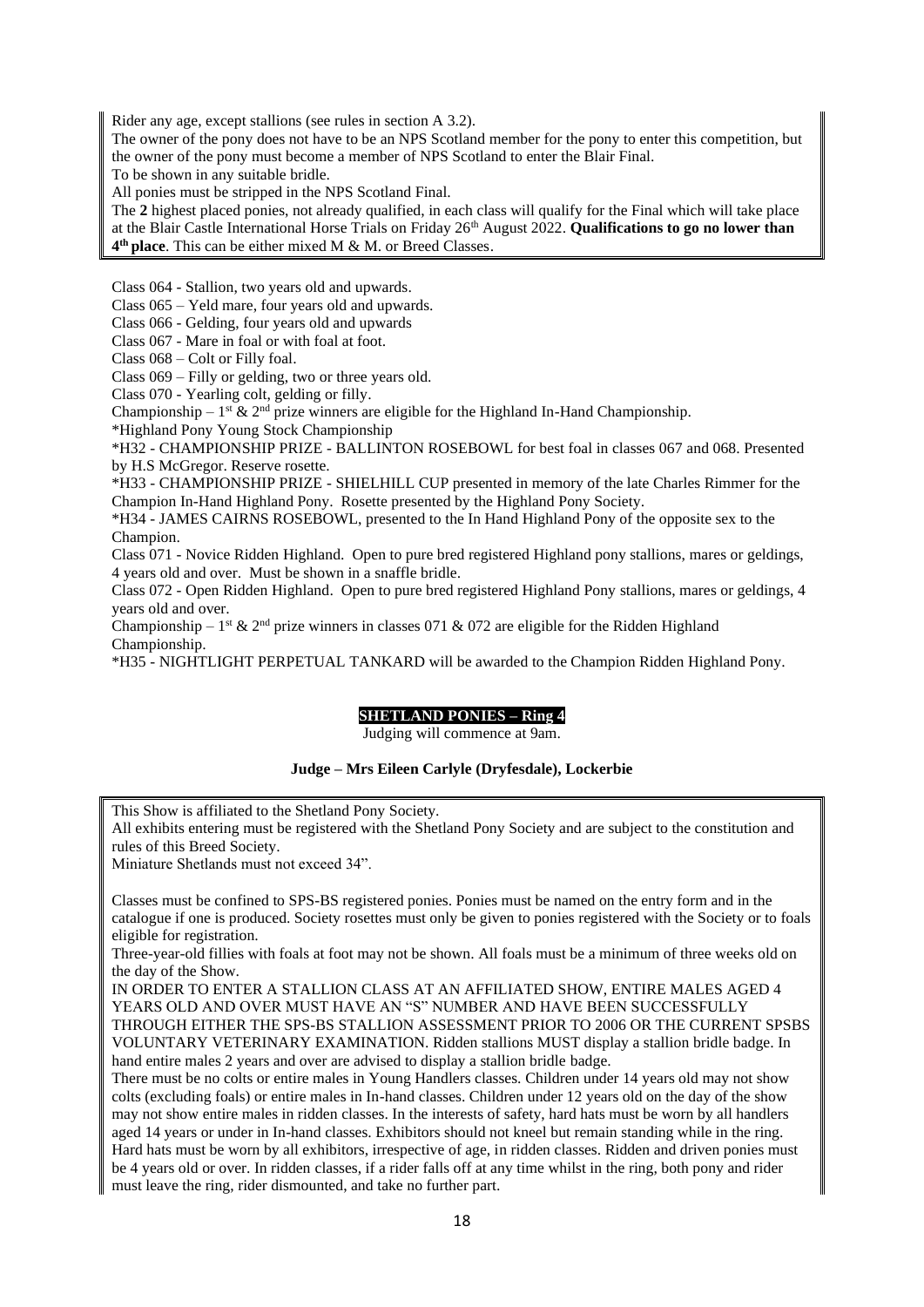Rider any age, except stallions (see rules in section A 3.2).

The owner of the pony does not have to be an NPS Scotland member for the pony to enter this competition, but the owner of the pony must become a member of NPS Scotland to enter the Blair Final.

To be shown in any suitable bridle.

All ponies must be stripped in the NPS Scotland Final.

The **2** highest placed ponies, not already qualified, in each class will qualify for the Final which will take place at the Blair Castle International Horse Trials on Friday 26th August 2022. **Qualifications to go no lower than 4 th place**. This can be either mixed M & M. or Breed Classes.

Class 064 - Stallion, two years old and upwards.

Class 065 – Yeld mare, four years old and upwards.

Class 066 - Gelding, four years old and upwards

Class 067 - Mare in foal or with foal at foot.

Class 068 – Colt or Filly foal.

Class 069 – Filly or gelding, two or three years old.

Class 070 - Yearling colt, gelding or filly.

Championship –  $1^{st}$  &  $2^{nd}$  prize winners are eligible for the Highland In-Hand Championship.

\*Highland Pony Young Stock Championship

\*H32 - CHAMPIONSHIP PRIZE - BALLINTON ROSEBOWL for best foal in classes 067 and 068. Presented by H.S McGregor. Reserve rosette.

\*H33 - CHAMPIONSHIP PRIZE - SHIELHILL CUP presented in memory of the late Charles Rimmer for the Champion In-Hand Highland Pony. Rosette presented by the Highland Pony Society.

\*H34 - JAMES CAIRNS ROSEBOWL, presented to the In Hand Highland Pony of the opposite sex to the Champion.

Class 071 - Novice Ridden Highland. Open to pure bred registered Highland pony stallions, mares or geldings, 4 years old and over. Must be shown in a snaffle bridle.

Class 072 - Open Ridden Highland. Open to pure bred registered Highland Pony stallions, mares or geldings, 4 years old and over.

Championship – 1<sup>st</sup> & 2<sup>nd</sup> prize winners in classes 071 & 072 are eligible for the Ridden Highland Championship.

\*H35 - NIGHTLIGHT PERPETUAL TANKARD will be awarded to the Champion Ridden Highland Pony.

#### **SHETLAND PONIES – Ring 4**

Judging will commence at 9am.

#### **Judge – Mrs Eileen Carlyle (Dryfesdale), Lockerbie**

This Show is affiliated to the Shetland Pony Society.

All exhibits entering must be registered with the Shetland Pony Society and are subject to the constitution and rules of this Breed Society.

Miniature Shetlands must not exceed 34".

Classes must be confined to SPS-BS registered ponies. Ponies must be named on the entry form and in the catalogue if one is produced. Society rosettes must only be given to ponies registered with the Society or to foals eligible for registration.

Three-year-old fillies with foals at foot may not be shown. All foals must be a minimum of three weeks old on the day of the Show.

IN ORDER TO ENTER A STALLION CLASS AT AN AFFILIATED SHOW, ENTIRE MALES AGED 4 YEARS OLD AND OVER MUST HAVE AN "S" NUMBER AND HAVE BEEN SUCCESSFULLY THROUGH EITHER THE SPS-BS STALLION ASSESSMENT PRIOR TO 2006 OR THE CURRENT SPSBS VOLUNTARY VETERINARY EXAMINATION. Ridden stallions MUST display a stallion bridle badge. In hand entire males 2 years and over are advised to display a stallion bridle badge.

There must be no colts or entire males in Young Handlers classes. Children under 14 years old may not show colts (excluding foals) or entire males in In-hand classes. Children under 12 years old on the day of the show may not show entire males in ridden classes. In the interests of safety, hard hats must be worn by all handlers aged 14 years or under in In-hand classes. Exhibitors should not kneel but remain standing while in the ring. Hard hats must be worn by all exhibitors, irrespective of age, in ridden classes. Ridden and driven ponies must be 4 years old or over. In ridden classes, if a rider falls off at any time whilst in the ring, both pony and rider must leave the ring, rider dismounted, and take no further part.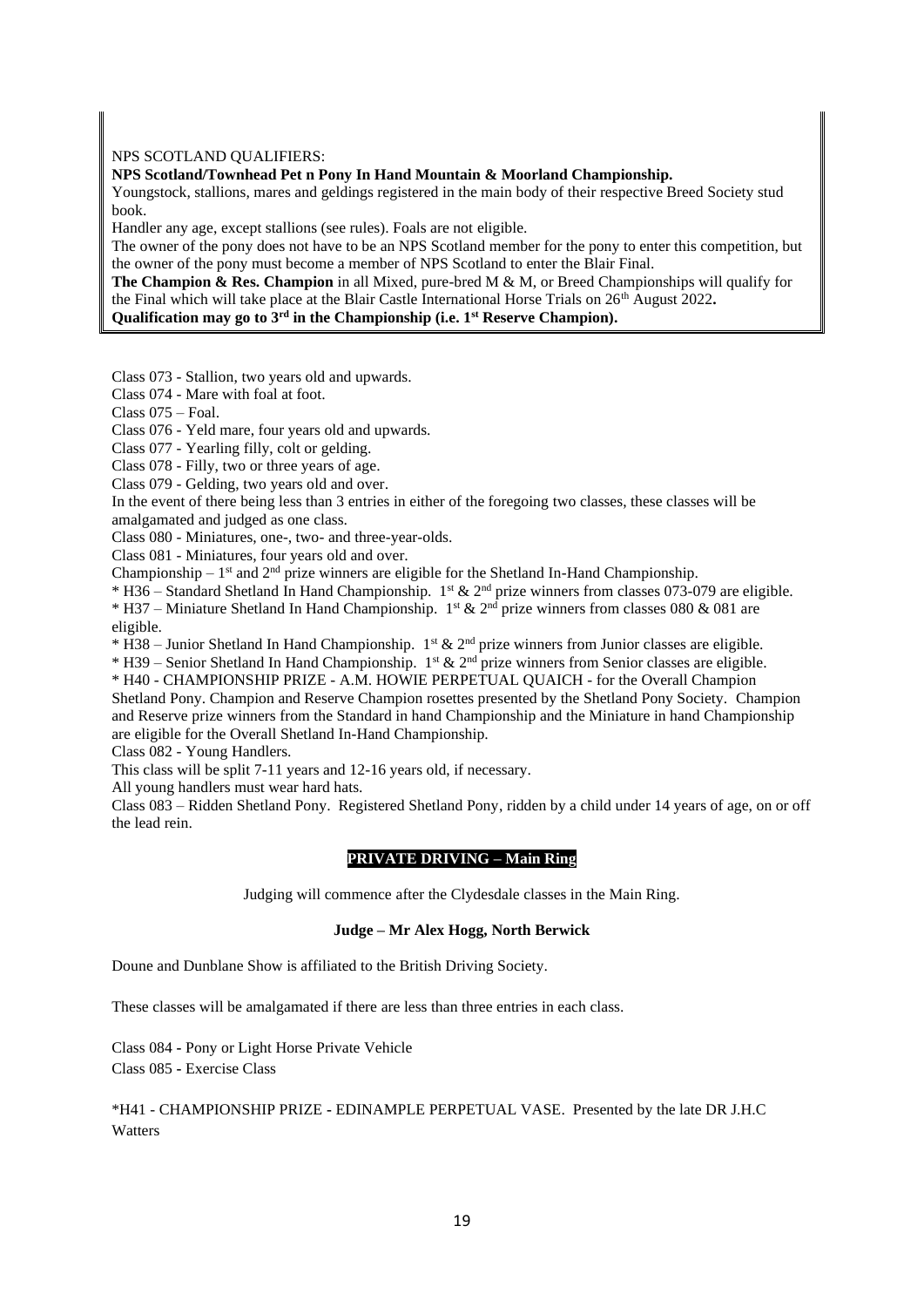#### NPS SCOTLAND QUALIFIERS:

**NPS Scotland/Townhead Pet n Pony In Hand Mountain & Moorland Championship.**

Youngstock, stallions, mares and geldings registered in the main body of their respective Breed Society stud book.

Handler any age, except stallions (see rules). Foals are not eligible.

The owner of the pony does not have to be an NPS Scotland member for the pony to enter this competition, but the owner of the pony must become a member of NPS Scotland to enter the Blair Final.

**The Champion & Res. Champion** in all Mixed, pure-bred M & M, or Breed Championships will qualify for the Final which will take place at the Blair Castle International Horse Trials on 26th August 2022**. Qualification may go to 3rd in the Championship (i.e. 1st Reserve Champion).**

Class 073 - Stallion, two years old and upwards.

Class 074 - Mare with foal at foot.

Class 075 – Foal.

Class 076 - Yeld mare, four years old and upwards.

Class 077 - Yearling filly, colt or gelding.

Class 078 - Filly, two or three years of age.

Class 079 - Gelding, two years old and over.

In the event of there being less than 3 entries in either of the foregoing two classes, these classes will be amalgamated and judged as one class.

Class 080 - Miniatures, one-, two- and three-year-olds.

Class 081 - Miniatures, four years old and over.

Championship  $-1$ <sup>st</sup> and  $2<sup>nd</sup>$  prize winners are eligible for the Shetland In-Hand Championship.

\* H36 – Standard Shetland In Hand Championship. 1st & 2nd prize winners from classes 073-079 are eligible. \* H37 – Miniature Shetland In Hand Championship. 1<sup>st</sup> & 2<sup>nd</sup> prize winners from classes 080 & 081 are eligible.

 $*$  H38 – Junior Shetland In Hand Championship. 1st & 2<sup>nd</sup> prize winners from Junior classes are eligible.

\* H39 – Senior Shetland In Hand Championship. 1<sup>st</sup> & 2<sup>nd</sup> prize winners from Senior classes are eligible.

\* H40 - CHAMPIONSHIP PRIZE - A.M. HOWIE PERPETUAL QUAICH - for the Overall Champion

Shetland Pony. Champion and Reserve Champion rosettes presented by the Shetland Pony Society. Champion and Reserve prize winners from the Standard in hand Championship and the Miniature in hand Championship are eligible for the Overall Shetland In-Hand Championship.

Class 082 - Young Handlers.

This class will be split 7-11 years and 12-16 years old, if necessary.

All young handlers must wear hard hats.

Class 083 – Ridden Shetland Pony. Registered Shetland Pony, ridden by a child under 14 years of age, on or off the lead rein.

#### **PRIVATE DRIVING – Main Ring**

Judging will commence after the Clydesdale classes in the Main Ring.

#### **Judge – Mr Alex Hogg, North Berwick**

Doune and Dunblane Show is affiliated to the British Driving Society.

These classes will be amalgamated if there are less than three entries in each class.

Class 084 **-** Pony or Light Horse Private Vehicle Class 085 **-** Exercise Class

\*H41 - CHAMPIONSHIP PRIZE **-** EDINAMPLE PERPETUAL VASE. Presented by the late DR J.H.C Watters